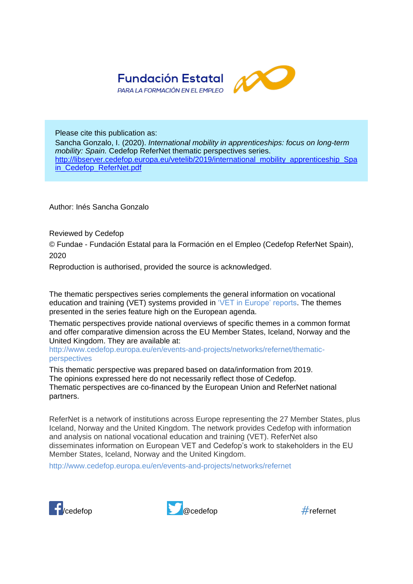

Please cite this publication as: Sancha Gonzalo, I. (2020). *International mobility in apprenticeships: focus on long-term mobility: Spain.* Cedefop ReferNet thematic perspectives series. http://libserver.cedefop.europa.eu/vetelib/2019/international\_mobility\_apprenticeship\_Spa in Cedefop ReferNet.pdf

Author: Inés Sancha Gonzalo

Reviewed by Cedefop

© Fundae - Fundación Estatal para la Formación en el Empleo (Cedefop ReferNet Spain), 2020

Reproduction is authorised, provided the source is acknowledged.

The thematic perspectives series complements the general information on vocational education and training (VET) systems provided in ['VET in Europe' reports.](http://www.cedefop.europa.eu/en/publications-and-resources/country-reports/vet-in-europe-country-reports) The themes presented in the series feature high on the European agenda.

Thematic perspectives provide national overviews of specific themes in a common format and offer comparative dimension across the EU Member States, Iceland, Norway and the United Kingdom. They are available at:

[http://www.cedefop.europa.eu/en/events-and-projects/networks/refernet/thematic](http://www.cedefop.europa.eu/en/events-and-projects/networks/refernet/thematic-perspectives)[perspectives](http://www.cedefop.europa.eu/en/events-and-projects/networks/refernet/thematic-perspectives)

This thematic perspective was prepared based on data/information from 2019. The opinions expressed here do not necessarily reflect those of Cedefop. Thematic perspectives are co-financed by the European Union and ReferNet national partners.

ReferNet is a network of institutions across Europe representing the 27 Member States, plus Iceland, Norway and the United Kingdom. The network provides Cedefop with information and analysis on national vocational education and training (VET). ReferNet also disseminates information on European VET and Cedefop's work to stakeholders in the EU Member States, Iceland, Norway and the United Kingdom.

<http://www.cedefop.europa.eu/en/events-and-projects/networks/refernet>





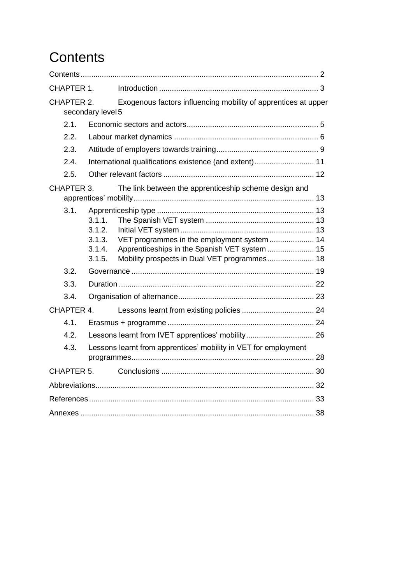# <span id="page-2-0"></span>**Contents**

| CHAPTER 1.                                                              |                                                |                                                                                                                                             |  |  |  |  |  |  |
|-------------------------------------------------------------------------|------------------------------------------------|---------------------------------------------------------------------------------------------------------------------------------------------|--|--|--|--|--|--|
| CHAPTER 2.                                                              | secondary level 5                              | Exogenous factors influencing mobility of apprentices at upper                                                                              |  |  |  |  |  |  |
| 2.1.                                                                    |                                                |                                                                                                                                             |  |  |  |  |  |  |
| 2.2.                                                                    |                                                |                                                                                                                                             |  |  |  |  |  |  |
| 2.3.                                                                    |                                                |                                                                                                                                             |  |  |  |  |  |  |
| 2.4.                                                                    |                                                | International qualifications existence (and extent) 11                                                                                      |  |  |  |  |  |  |
| 2.5.                                                                    |                                                |                                                                                                                                             |  |  |  |  |  |  |
| CHAPTER 3.                                                              |                                                | The link between the apprenticeship scheme design and                                                                                       |  |  |  |  |  |  |
| 3.1.                                                                    | 3.1.1.<br>3.1.2.<br>3.1.3.<br>3.1.4.<br>3.1.5. | VET programmes in the employment system 14<br>Apprenticeships in the Spanish VET system  15<br>Mobility prospects in Dual VET programmes 18 |  |  |  |  |  |  |
| 3.2.                                                                    |                                                |                                                                                                                                             |  |  |  |  |  |  |
| 3.3.                                                                    |                                                |                                                                                                                                             |  |  |  |  |  |  |
| 3.4.                                                                    |                                                |                                                                                                                                             |  |  |  |  |  |  |
| CHAPTER 4.                                                              |                                                |                                                                                                                                             |  |  |  |  |  |  |
| 4.1                                                                     |                                                |                                                                                                                                             |  |  |  |  |  |  |
| 4.2.                                                                    |                                                |                                                                                                                                             |  |  |  |  |  |  |
| Lessons learnt from apprentices' mobility in VET for employment<br>4.3. |                                                |                                                                                                                                             |  |  |  |  |  |  |
| CHAPTER 5.                                                              |                                                |                                                                                                                                             |  |  |  |  |  |  |
|                                                                         |                                                |                                                                                                                                             |  |  |  |  |  |  |
|                                                                         |                                                |                                                                                                                                             |  |  |  |  |  |  |
|                                                                         |                                                |                                                                                                                                             |  |  |  |  |  |  |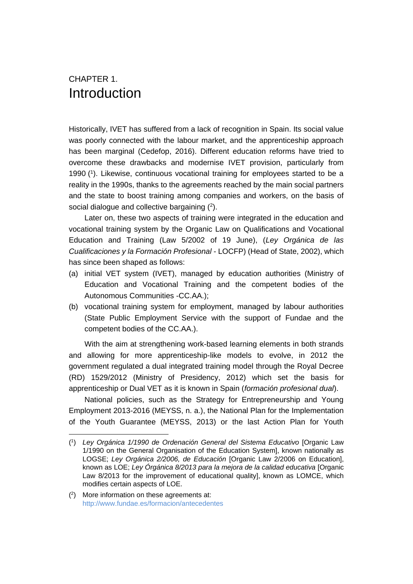## <span id="page-3-0"></span>CHAPTER 1. Introduction

Historically, IVET has suffered from a lack of recognition in Spain. Its social value was poorly connected with the labour market, and the apprenticeship approach has been marginal (Cedefop, 2016). Different education reforms have tried to overcome these drawbacks and modernise IVET provision, particularly from 1990 ( 1 ). Likewise, continuous vocational training for employees started to be a reality in the 1990s, thanks to the agreements reached by the main social partners and the state to boost training among companies and workers, on the basis of social dialogue and collective bargaining  $(2)$ .

Later on, these two aspects of training were integrated in the education and vocational training system by the Organic Law on Qualifications and Vocational Education and Training (Law 5/2002 of 19 June), (*Ley Orgánica de las Cualificaciones y la Formación Profesional* - LOCFP) (Head of State, 2002), which has since been shaped as follows:

- (a) initial VET system (IVET), managed by education authorities (Ministry of Education and Vocational Training and the competent bodies of the Autonomous Communities -CC.AA.);
- (b) vocational training system for employment, managed by labour authorities (State Public Employment Service with the support of Fundae and the competent bodies of the CC.AA.).

With the aim at strengthening work-based learning elements in both strands and allowing for more apprenticeship-like models to evolve, in 2012 the government regulated a dual integrated training model through the Royal Decree (RD) 1529/2012 (Ministry of Presidency, 2012) which set the basis for apprenticeship or Dual VET as it is known in Spain (*formación profesional dual*).

National policies, such as the Strategy for Entrepreneurship and Young Employment 2013-2016 (MEYSS, n. a.), the National Plan for the Implementation of the Youth Guarantee (MEYSS, 2013) or the last Action Plan for Youth

 $\overline{a}$ 

<sup>(</sup> 1 ) *Ley Orgánica 1/1990 de Ordenación General del Sistema Educativo* [Organic Law 1/1990 on the General Organisation of the Education System], known nationally as LOGSE; *Ley Orgánica 2/2006, de Educación* [Organic Law 2/2006 on Education], known as LOE; *Ley Órgánica 8/2013 para la mejora de la calidad educativa* [Organic Law 8/2013 for the improvement of educational quality], known as LOMCE, which modifies certain aspects of LOE.

<sup>(</sup> 2 ) More information on these agreements at: <http://www.fundae.es/formacion/antecedentes>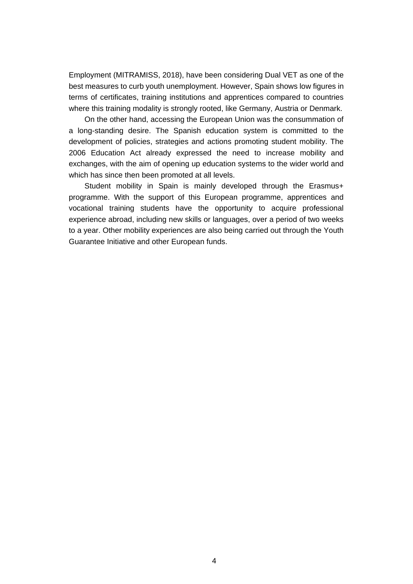Employment (MITRAMISS, 2018), have been considering Dual VET as one of the best measures to curb youth unemployment. However, Spain shows low figures in terms of certificates, training institutions and apprentices compared to countries where this training modality is strongly rooted, like Germany, Austria or Denmark.

On the other hand, accessing the European Union was the consummation of a long-standing desire. The Spanish education system is committed to the development of policies, strategies and actions promoting student mobility. The 2006 Education Act already expressed the need to increase mobility and exchanges, with the aim of opening up education systems to the wider world and which has since then been promoted at all levels.

Student mobility in Spain is mainly developed through the Erasmus+ programme. With the support of this European programme, apprentices and vocational training students have the opportunity to acquire professional experience abroad, including new skills or languages, over a period of two weeks to a year. Other mobility experiences are also being carried out through the Youth Guarantee Initiative and other European funds.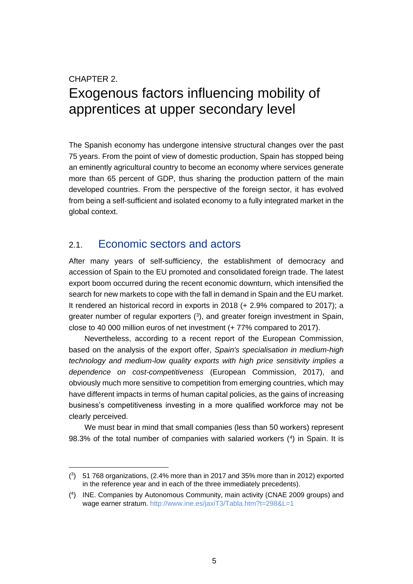# <span id="page-5-0"></span>CHAPTER 2. Exogenous factors influencing mobility of apprentices at upper secondary level

The Spanish economy has undergone intensive structural changes over the past 75 years. From the point of view of domestic production, Spain has stopped being an eminently agricultural country to become an economy where services generate more than 65 percent of GDP, thus sharing the production pattern of the main developed countries. From the perspective of the foreign sector, it has evolved from being a self-sufficient and isolated economy to a fully integrated market in the global context.

### <span id="page-5-1"></span>2.1. Economic sectors and actors

 $\overline{a}$ 

After many years of self-sufficiency, the establishment of democracy and accession of Spain to the EU promoted and consolidated foreign trade. The latest export boom occurred during the recent economic downturn, which intensified the search for new markets to cope with the fall in demand in Spain and the EU market. It rendered an historical record in exports in 2018 (+ 2.9% compared to 2017); a greater number of regular exporters (<sup>3</sup> ), and greater foreign investment in Spain, close to 40 000 million euros of net investment (+ 77% compared to 2017).

Nevertheless, according to a recent report of the European Commission, based on the analysis of the export offer, *Spain's specialisation in medium-high technology and medium-low quality exports with high price sensitivity implies a dependence on cost-competitiveness* (European Commission, 2017), and obviously much more sensitive to competition from emerging countries, which may have different impacts in terms of human capital policies, as the gains of increasing business's competitiveness investing in a more qualified workforce may not be clearly perceived.

We must bear in mind that small companies (less than 50 workers) represent 98.3% of the total number of companies with salaried workers (<sup>4</sup> ) in Spain. It is

<sup>(</sup> 3 ) 51 768 organizations, (2.4% more than in 2017 and 35% more than in 2012) exported in the reference year and in each of the three immediately precedents).

<sup>(</sup> 4 ) INE. Companies by Autonomous Community, main activity (CNAE 2009 groups) and wage earner stratum.<http://www.ine.es/jaxiT3/Tabla.htm?t=298&L=1>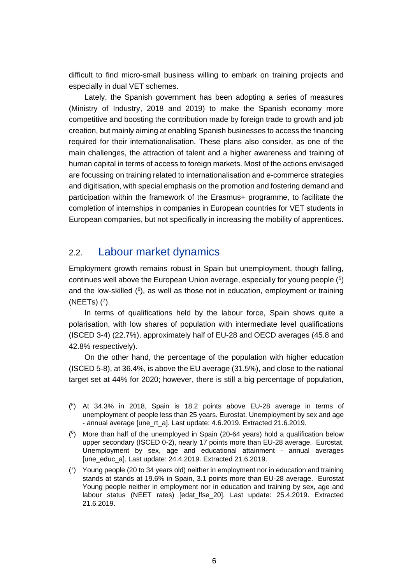difficult to find micro-small business willing to embark on training projects and especially in dual VET schemes.

Lately, the Spanish government has been adopting a series of measures (Ministry of Industry, 2018 and 2019) to make the Spanish economy more competitive and boosting the contribution made by foreign trade to growth and job creation, but mainly aiming at enabling Spanish businesses to access the financing required for their internationalisation. These plans also consider, as one of the main challenges, the attraction of talent and a higher awareness and training of human capital in terms of access to foreign markets. Most of the actions envisaged are focussing on training related to internationalisation and e-commerce strategies and digitisation, with special emphasis on the promotion and fostering demand and participation within the framework of the Erasmus+ programme, to facilitate the completion of internships in companies in European countries for VET students in European companies, but not specifically in increasing the mobility of apprentices.

### <span id="page-6-0"></span>2.2. Labour market dynamics

Employment growth remains robust in Spain but unemployment, though falling, continues well above the European Union average, especially for young people (<sup>5</sup> ) and the low-skilled  $(^6)$ , as well as those not in education, employment or training (NEETs) (<sup>7</sup> ).

In terms of qualifications held by the labour force, Spain shows quite a polarisation, with low shares of population with intermediate level qualifications (ISCED 3-4) (22.7%), approximately half of EU-28 and OECD averages (45.8 and 42.8% respectively).

On the other hand, the percentage of the population with higher education (ISCED 5-8), at 36.4%, is above the EU average (31.5%), and close to the national target set at 44% for 2020; however, there is still a big percentage of population,

<sup>(</sup> 5 ) At 34.3% in 2018, Spain is 18.2 points above EU-28 average in terms of unemployment of people less than 25 years. Eurostat. Unemployment by sex and age - annual average [une\_rt\_a]. Last update: 4.6.2019. Extracted 21.6.2019.

 $(6)$  More than half of the unemployed in Spain (20-64 years) hold a qualification below upper secondary (ISCED 0-2), nearly 17 points more than EU-28 average. Eurostat. Unemployment by sex, age and educational attainment - annual averages [une\_educ\_a]. Last update: 24.4.2019. Extracted 21.6.2019.

<sup>(</sup> 7 ) Young people (20 to 34 years old) neither in employment nor in education and training stands at stands at 19.6% in Spain, 3.1 points more than EU-28 average. Eurostat Young people neither in employment nor in education and training by sex, age and labour status (NEET rates) [edat\_lfse\_20]. Last update: 25.4.2019. Extracted 21.6.2019.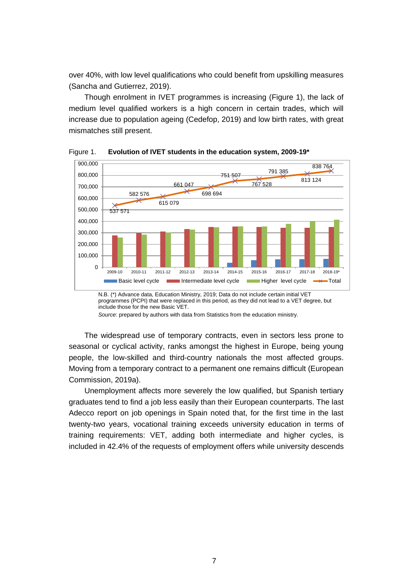over 40%, with low level qualifications who could benefit from upskilling measures (Sancha and Gutierrez, 2019).

Though enrolment in IVET programmes is increasing (Figure 1), the lack of medium level qualified workers is a high concern in certain trades, which will increase due to population ageing (Cedefop, 2019) and low birth rates, with great mismatches still present.



Figure 1. **Evolution of IVET students in the education system, 2009-19\***

N.B. (\*) Advance data, Education Ministry, 2019; Data do not include certain initial VET programmes (PCPI) that were replaced in this period, as they did not lead to a VET degree, but include those for the new Basic VET.

*Source*: prepared by authors with data from Statistics from the education ministry.

The widespread use of temporary contracts, even in sectors less prone to seasonal or cyclical activity, ranks amongst the highest in Europe, being young people, the low-skilled and third-country nationals the most affected groups. Moving from a temporary contract to a permanent one remains difficult (European Commission, 2019a).

Unemployment affects more severely the low qualified, but Spanish tertiary graduates tend to find a job less easily than their European counterparts. The last Adecco report on job openings in Spain noted that, for the first time in the last twenty-two years, vocational training exceeds university education in terms of training requirements: VET, adding both intermediate and higher cycles, is included in 42.4% of the requests of employment offers while university descends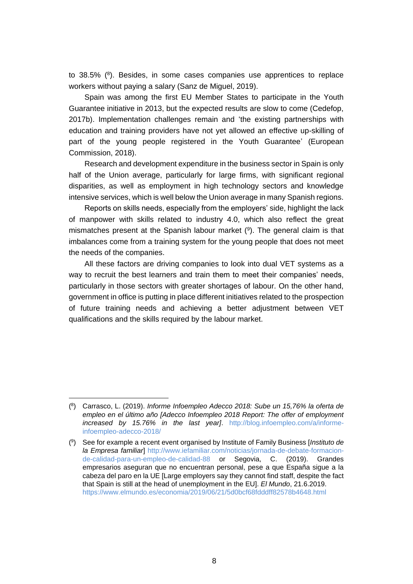to  $38.5\%$  ( $8$ ). Besides, in some cases companies use apprentices to replace workers without paying a salary (Sanz de Miguel, 2019).

Spain was among the first EU Member States to participate in the Youth Guarantee initiative in 2013, but the expected results are slow to come (Cedefop, 2017b). Implementation challenges remain and 'the existing partnerships with education and training providers have not yet allowed an effective up-skilling of part of the young people registered in the Youth Guarantee' (European Commission, 2018).

Research and development expenditure in the business sector in Spain is only half of the Union average, particularly for large firms, with significant regional disparities, as well as employment in high technology sectors and knowledge intensive services, which is well below the Union average in many Spanish regions.

Reports on skills needs, especially from the employers' side, highlight the lack of manpower with skills related to industry 4.0, which also reflect the great mismatches present at the Spanish labour market  $(9)$ . The general claim is that imbalances come from a training system for the young people that does not meet the needs of the companies.

All these factors are driving companies to look into dual VET systems as a way to recruit the best learners and train them to meet their companies' needs, particularly in those sectors with greater shortages of labour. On the other hand, government in office is putting in place different initiatives related to the prospection of future training needs and achieving a better adjustment between VET qualifications and the skills required by the labour market.

<sup>(</sup> 8 ) Carrasco, L. (2019). *Informe Infoempleo Adecco 2018: Sube un 15,76% la oferta de empleo en el último año [Adecco Infoempleo 2018 Report: The offer of employment increased by 15.76% in the last year]*. [http://blog.infoempleo.com/a/informe](http://blog.infoempleo.com/a/informe-infoempleo-adecco-2018/)[infoempleo-adecco-2018/](http://blog.infoempleo.com/a/informe-infoempleo-adecco-2018/)

<sup>(</sup> 9 ) See for example a recent event organised by Institute of Family Business [*Instituto de la Empresa familiar*] [http://www.iefamiliar.com/noticias/jornada-de-debate-formacion](http://www.iefamiliar.com/noticias/jornada-de-debate-formacion-de-calidad-para-un-empleo-de-calidad-88)[de-calidad-para-un-empleo-de-calidad-88](http://www.iefamiliar.com/noticias/jornada-de-debate-formacion-de-calidad-para-un-empleo-de-calidad-88) or Segovia, C. (2019). Grandes empresarios aseguran que no encuentran personal, pese a que España sigue a la cabeza del paro en la UE [Large employers say they cannot find staff, despite the fact that Spain is still at the head of unemployment in the EU]. *El Mundo*, 21.6.2019. <https://www.elmundo.es/economia/2019/06/21/5d0bcf68fdddff82578b4648.html>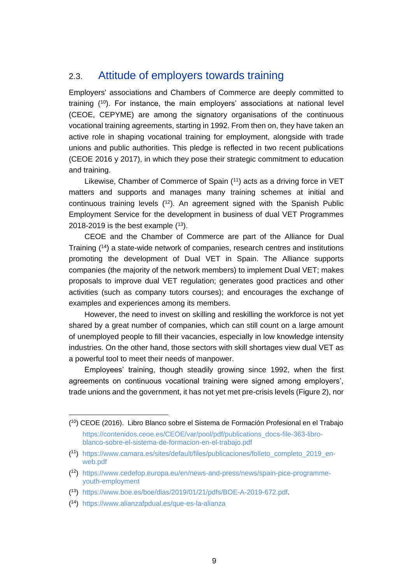### <span id="page-9-0"></span>2.3. Attitude of employers towards training

Employers' associations and Chambers of Commerce are deeply committed to training ( <sup>10</sup>). For instance, the main employers' associations at national level (CEOE, CEPYME) are among the signatory organisations of the continuous vocational training agreements, starting in 1992. From then on, they have taken an active role in shaping vocational training for employment, alongside with trade unions and public authorities. This pledge is reflected in two recent publications (CEOE 2016 y 2017), in which they pose their strategic commitment to education and training.

Likewise, Chamber of Commerce of Spain (<sup>11</sup>) acts as a driving force in VET matters and supports and manages many training schemes at initial and continuous training levels (<sup>12</sup>). An agreement signed with the Spanish Public Employment Service for the development in business of dual VET Programmes 2018-2019 is the best example  $(13)$ .

CEOE and the Chamber of Commerce are part of the Alliance for Dual Training (<sup>14</sup>) a state-wide network of companies, research centres and institutions promoting the development of Dual VET in Spain. The Alliance supports companies (the majority of the network members) to implement Dual VET; makes proposals to improve dual VET regulation; generates good practices and other activities (such as company tutors courses); and encourages the exchange of examples and experiences among its members.

However, the need to invest on skilling and reskilling the workforce is not yet shared by a great number of companies, which can still count on a large amount of unemployed people to fill their vacancies, especially in low knowledge intensity industries. On the other hand, those sectors with skill shortages view dual VET as a powerful tool to meet their needs of manpower.

Employees' training, though steadily growing since 1992, when the first agreements on continuous vocational training were signed among employers', trade unions and the government, it has not yet met pre-crisis levels (Figure 2), nor

<sup>(</sup> <sup>10</sup>) CEOE (2016). Libro Blanco sobre el Sistema de Formación Profesional en el Trabajo [https://contenidos.ceoe.es/CEOE/var/pool/pdf/publications\\_docs-file-363-libro](https://contenidos.ceoe.es/CEOE/var/pool/pdf/publications_docs-file-363-libro-blanco-sobre-el-sistema-de-formacion-en-el-trabajo.pdf)[blanco-sobre-el-sistema-de-formacion-en-el-trabajo.pdf](https://contenidos.ceoe.es/CEOE/var/pool/pdf/publications_docs-file-363-libro-blanco-sobre-el-sistema-de-formacion-en-el-trabajo.pdf)

<sup>(</sup> <sup>11</sup>) [https://www.camara.es/sites/default/files/publicaciones/folleto\\_completo\\_2019\\_en](https://www.camara.es/sites/default/files/publicaciones/folleto_completo_2019_en-web.pdf)[web.pdf](https://www.camara.es/sites/default/files/publicaciones/folleto_completo_2019_en-web.pdf)

<sup>(</sup> <sup>12</sup>) [https://www.cedefop.europa.eu/en/news-and-press/news/spain-pice-programme](https://www.cedefop.europa.eu/en/news-and-press/news/spain-pice-programme-youth-employment)[youth-employment](https://www.cedefop.europa.eu/en/news-and-press/news/spain-pice-programme-youth-employment)

<sup>(</sup> <sup>13</sup>) [https://www.boe.es/boe/dias/2019/01/21/pdfs/BOE-A-2019-672.pdf.](https://www.boe.es/boe/dias/2019/01/21/pdfs/BOE-A-2019-672.pdf)

<sup>(</sup> <sup>14</sup>) <https://www.alianzafpdual.es/que-es-la-alianza>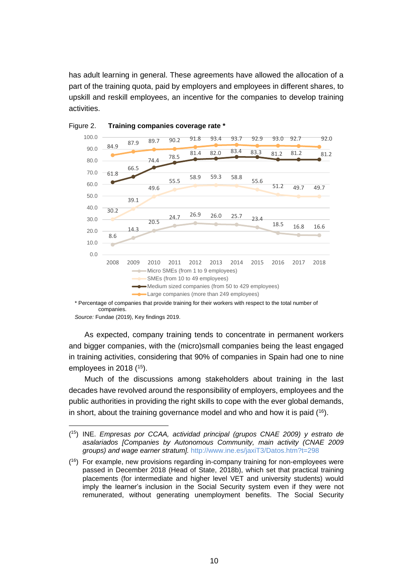has adult learning in general. These agreements have allowed the allocation of a part of the training quota, paid by employers and employees in different shares, to upskill and reskill employees, an incentive for the companies to develop training activities.





\* Percentage of companies that provide training for their workers with respect to the total number of companies.

*Source:* Fundae (2019), Key findings 2019.

 $\overline{a}$ 

As expected, company training tends to concentrate in permanent workers and bigger companies, with the (micro)small companies being the least engaged in training activities, considering that 90% of companies in Spain had one to nine employees in 2018 (<sup>15</sup>).

Much of the discussions among stakeholders about training in the last decades have revolved around the responsibility of employers, employees and the public authorities in providing the right skills to cope with the ever global demands, in short, about the training governance model and who and how it is paid  $(16)$ .

<sup>(</sup> <sup>15</sup>) INE. *Empresas por CCAA, actividad principal (grupos CNAE 2009) y estrato de asalariados [Companies by Autonomous Community, main activity (CNAE 2009 groups) and wage earner stratum].* <http://www.ine.es/jaxiT3/Datos.htm?t=298>

 $(16)$  For example, new provisions regarding in-company training for non-employees were passed in December 2018 (Head of State, 2018b), which set that practical training placements (for intermediate and higher level VET and university students) would imply the learner's inclusion in the Social Security system even if they were not remunerated, without generating unemployment benefits. The Social Security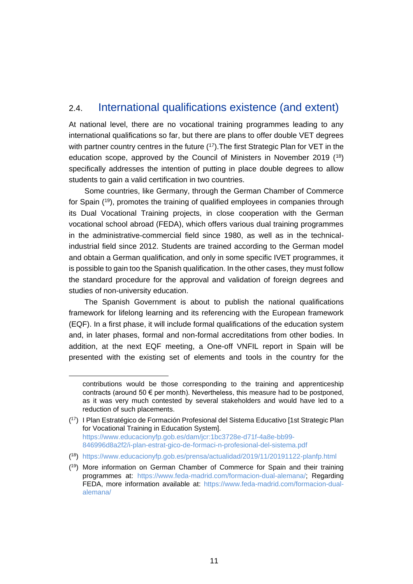## <span id="page-11-0"></span>2.4. International qualifications existence (and extent)

At national level, there are no vocational training programmes leading to any international qualifications so far, but there are plans to offer double VET degrees with partner country centres in the future (17). The first Strategic Plan for VET in the education scope, approved by the Council of Ministers in November 2019 (<sup>18</sup>) specifically addresses the intention of putting in place double degrees to allow students to gain a valid certification in two countries.

Some countries, like Germany, through the German Chamber of Commerce for Spain (<sup>19</sup>), promotes the training of qualified employees in companies through its Dual Vocational Training projects, in close cooperation with the German vocational school abroad (FEDA), which offers various dual training programmes in the administrative-commercial field since 1980, as well as in the technicalindustrial field since 2012. Students are trained according to the German model and obtain a German qualification, and only in some specific IVET programmes, it is possible to gain too the Spanish qualification. In the other cases, they must follow the standard procedure for the approval and validation of foreign degrees and studies of non-university education.

The Spanish Government is about to publish the national qualifications framework for lifelong learning and its referencing with the European framework (EQF). In a first phase, it will include formal qualifications of the education system and, in later phases, formal and non-formal accreditations from other bodies. In addition, at the next EQF meeting, a One-off VNFIL report in Spain will be presented with the existing set of elements and tools in the country for the

 $\overline{a}$ 

contributions would be those corresponding to the training and apprenticeship contracts (around 50  $\epsilon$  per month). Nevertheless, this measure had to be postponed. as it was very much contested by several stakeholders and would have led to a reduction of such placements.

<sup>(</sup> <sup>17</sup>) I Plan Estratégico de Formación Profesional del Sistema Educativo [1st Strategic Plan for Vocational Training in Education System]. [https://www.educacionyfp.gob.es/dam/jcr:1bc3728e-d71f-4a8e-bb99-](https://www.educacionyfp.gob.es/dam/jcr:1bc3728e-d71f-4a8e-bb99-846996d8a2f2/i-plan-estrat-gico-de-formaci-n-profesional-del-sistema.pdf) [846996d8a2f2/i-plan-estrat-gico-de-formaci-n-profesional-del-sistema.pdf](https://www.educacionyfp.gob.es/dam/jcr:1bc3728e-d71f-4a8e-bb99-846996d8a2f2/i-plan-estrat-gico-de-formaci-n-profesional-del-sistema.pdf)

<sup>(</sup> <sup>18</sup>) <https://www.educacionyfp.gob.es/prensa/actualidad/2019/11/20191122-planfp.html>

<sup>(</sup> <sup>19</sup>) More information on German Chamber of Commerce for Spain and their training programmes at: [https://www.feda-madrid.com/formacion-dual-alemana/;](https://www.feda-madrid.com/formacion-dual-alemana/) Regarding FEDA, more information available at: [https://www.feda-madrid.com/formacion-dual](https://www.feda-madrid.com/formacion-dual-alemana/)[alemana/](https://www.feda-madrid.com/formacion-dual-alemana/)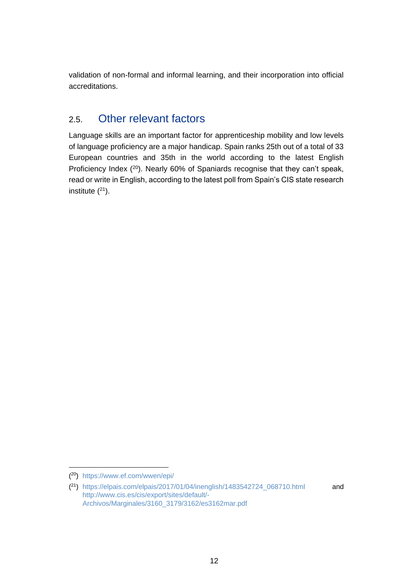validation of non-formal and informal learning, and their incorporation into official accreditations.

## <span id="page-12-0"></span>2.5. Other relevant factors

Language skills are an important factor for apprenticeship mobility and low levels of language proficiency are a major handicap. Spain ranks 25th out of a total of 33 European countries and 35th in the world according to the latest English Proficiency Index (<sup>20</sup>). Nearly 60% of Spaniards recognise that they can't speak, read or write in English, according to the latest poll from Spain's CIS state research institute  $(21)$ .

 $\overline{a}$ 

<sup>(</sup> <sup>20</sup>) <https://www.ef.com/wwen/epi/>

 $(2<sup>1</sup>)$  [https://elpais.com/elpais/2017/01/04/inenglish/1483542724\\_068710.html](https://elpais.com/elpais/2017/01/04/inenglish/1483542724_068710.html) and [http://www.cis.es/cis/export/sites/default/-](http://www.cis.es/cis/export/sites/default/-Archivos/Marginales/3160_3179/3162/es3162mar.pdf) [Archivos/Marginales/3160\\_3179/3162/es3162mar.pdf](http://www.cis.es/cis/export/sites/default/-Archivos/Marginales/3160_3179/3162/es3162mar.pdf)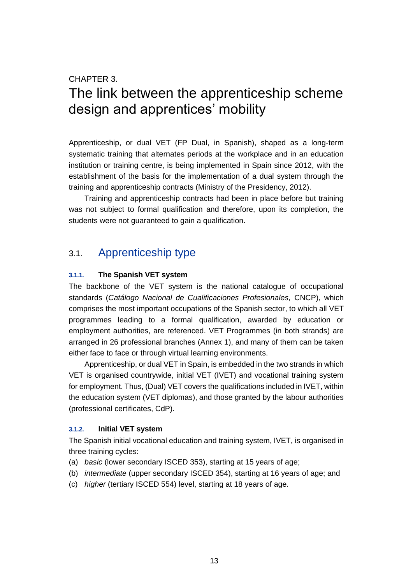#### CHAPTER 3.

# <span id="page-13-0"></span>The link between the apprenticeship scheme design and apprentices' mobility

Apprenticeship, or dual VET (FP Dual, in Spanish), shaped as a long-term systematic training that alternates periods at the workplace and in an education institution or training centre, is being implemented in Spain since 2012, with the establishment of the basis for the implementation of a dual system through the training and apprenticeship contracts (Ministry of the Presidency, 2012).

Training and apprenticeship contracts had been in place before but training was not subject to formal qualification and therefore, upon its completion, the students were not guaranteed to gain a qualification.

## <span id="page-13-1"></span>3.1. Apprenticeship type

#### <span id="page-13-2"></span>**3.1.1. The Spanish VET system**

The backbone of the VET system is the national catalogue of occupational standards (*Catálogo Nacional de Cualificaciones Profesionales,* CNCP), which comprises the most important occupations of the Spanish sector, to which all VET programmes leading to a formal qualification, awarded by education or employment authorities, are referenced. VET Programmes (in both strands) are arranged in 26 professional branches (Annex 1), and many of them can be taken either face to face or through virtual learning environments.

Apprenticeship, or dual VET in Spain, is embedded in the two strands in which VET is organised countrywide, initial VET (IVET) and vocational training system for employment. Thus, (Dual) VET covers the qualifications included in IVET, within the education system (VET diplomas), and those granted by the labour authorities (professional certificates, CdP).

#### <span id="page-13-3"></span>**3.1.2. Initial VET system**

The Spanish initial vocational education and training system, IVET, is organised in three training cycles:

- (a) *basic* (lower secondary ISCED 353), starting at 15 years of age;
- (b) *intermediate* (upper secondary ISCED 354), starting at 16 years of age; and
- (c) *higher* (tertiary ISCED 554) level, starting at 18 years of age.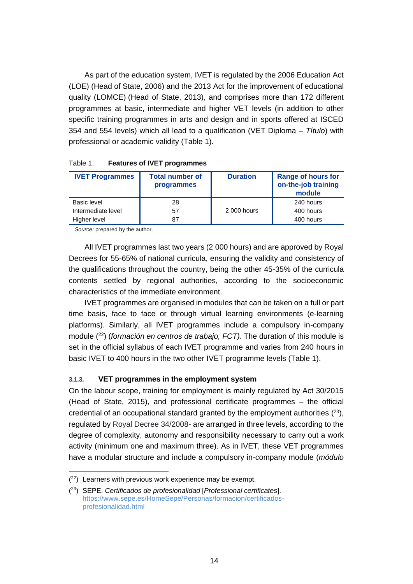As part of the education system, IVET is regulated by the 2006 Education Act (LOE) (Head of State, 2006) and the 2013 Act for the improvement of educational quality (LOMCE) (Head of State, 2013), and comprises more than 172 different programmes at basic, intermediate and higher VET levels (in addition to other specific training programmes in arts and design and in sports offered at ISCED 354 and 554 levels) which all lead to a qualification (VET Diploma – *Título*) with professional or academic validity (Table 1).

| <b>IVET Programmes</b> | <b>Total number of</b><br>programmes | <b>Duration</b> | <b>Range of hours for</b><br>on-the-job training<br>module |
|------------------------|--------------------------------------|-----------------|------------------------------------------------------------|
| Basic level            | 28                                   |                 | 240 hours                                                  |
| Intermediate level     | 57                                   | 2 000 hours     | 400 hours                                                  |
| Higher level           | 87                                   |                 | 400 hours                                                  |

| Table 1. |  | <b>Features of IVET programmes</b> |
|----------|--|------------------------------------|
|          |  |                                    |

*Source:* prepared by the author.

All IVET programmes last two years (2 000 hours) and are approved by Royal Decrees for 55-65% of national curricula, ensuring the validity and consistency of the qualifications throughout the country, being the other 45-35% of the curricula contents settled by regional authorities, according to the socioeconomic characteristics of the immediate environment.

IVET programmes are organised in modules that can be taken on a full or part time basis, face to face or through virtual learning environments (e-learning platforms). Similarly, all IVET programmes include a compulsory in-company module (<sup>22</sup>) (*formación en centros de trabajo, FCT)*. The duration of this module is set in the official syllabus of each IVET programme and varies from 240 hours in basic IVET to 400 hours in the two other IVET programme levels (Table 1).

#### <span id="page-14-0"></span>**3.1.3. VET programmes in the employment system**

On the labour scope, training for employment is mainly regulated by Act 30/2015 (Head of State, 2015), and professional certificate programmes – the official credential of an occupational standard granted by the employment authorities  $(^{23})$ , regulated by Royal Decree 34/2008- are arranged in three levels, according to the degree of complexity, autonomy and responsibility necessary to carry out a work activity (minimum one and maximum three). As in IVET, these VET programmes have a modular structure and include a compulsory in-company module (*módulo* 

 $(22)$  Learners with previous work experience may be exempt.

<sup>(</sup> <sup>23</sup>) SEPE. *Certificados de profesionalidad* [*Professional certificates*]. [https://www.sepe.es/HomeSepe/Personas/formacion/certificados](https://www.sepe.es/HomeSepe/Personas/formacion/certificados-profesionalidad.html)[profesionalidad.html](https://www.sepe.es/HomeSepe/Personas/formacion/certificados-profesionalidad.html)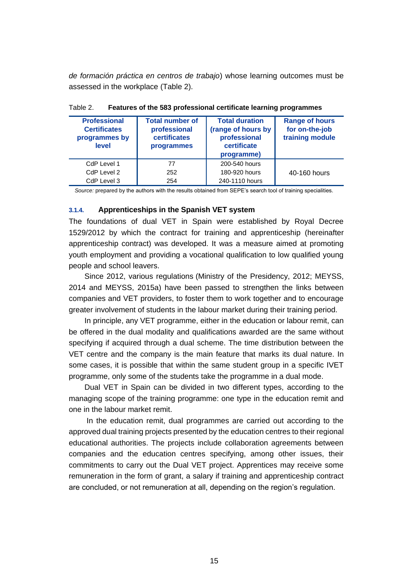*de formación práctica en centros de trabajo*) whose learning outcomes must be assessed in the workplace (Table 2).

| <b>Professional</b><br><b>Certificates</b><br>programmes by<br>level | <b>Total number of</b><br>professional<br>certificates<br>programmes | <b>Total duration</b><br>(range of hours by<br>professional<br>certificate<br>programme) | <b>Range of hours</b><br>for on-the-job<br>training module |
|----------------------------------------------------------------------|----------------------------------------------------------------------|------------------------------------------------------------------------------------------|------------------------------------------------------------|
| CdP Level 1                                                          | 77                                                                   | 200-540 hours                                                                            |                                                            |
| CdP Level 2                                                          | 252                                                                  | 180-920 hours                                                                            | 40-160 hours                                               |
| CdP Level 3                                                          | 254                                                                  | 240-1110 hours                                                                           |                                                            |

Table 2. **Features of the 583 professional certificate learning programmes**

<span id="page-15-0"></span>*Source:* prepared by the authors with the results obtained from SEPE's search tool of training specialities.

#### **3.1.4. Apprenticeships in the Spanish VET system**

The foundations of dual VET in Spain were established by Royal Decree 1529/2012 by which the contract for training and apprenticeship (hereinafter apprenticeship contract) was developed. It was a measure aimed at promoting youth employment and providing a vocational qualification to low qualified young people and school leavers.

Since 2012, various regulations (Ministry of the Presidency, 2012; MEYSS, 2014 and MEYSS, 2015a) have been passed to strengthen the links between companies and VET providers, to foster them to work together and to encourage greater involvement of students in the labour market during their training period.

In principle, any VET programme, either in the education or labour remit, can be offered in the dual modality and qualifications awarded are the same without specifying if acquired through a dual scheme. The time distribution between the VET centre and the company is the main feature that marks its dual nature. In some cases, it is possible that within the same student group in a specific IVET programme, only some of the students take the programme in a dual mode.

Dual VET in Spain can be divided in two different types, according to the managing scope of the training programme: one type in the education remit and one in the labour market remit.

In the education remit, dual programmes are carried out according to the approved dual training projects presented by the education centres to their regional educational authorities. The projects include collaboration agreements between companies and the education centres specifying, among other issues, their commitments to carry out the Dual VET project. Apprentices may receive some remuneration in the form of grant, a salary if training and apprenticeship contract are concluded, or not remuneration at all, depending on the region's regulation.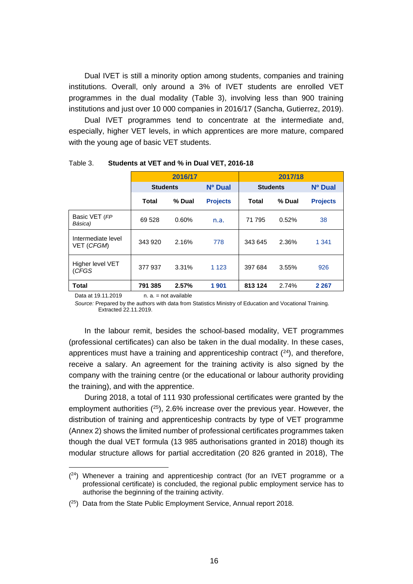Dual IVET is still a minority option among students, companies and training institutions. Overall, only around a 3% of IVET students are enrolled VET programmes in the dual modality (Table 3), involving less than 900 training institutions and just over 10 000 companies in 2016/17 (Sancha, Gutierrez, 2019).

Dual IVET programmes tend to concentrate at the intermediate and, especially, higher VET levels, in which apprentices are more mature, compared with the young age of basic VET students.

|                                  | 2016/17         |        |                 | 2017/18         |        |                 |
|----------------------------------|-----------------|--------|-----------------|-----------------|--------|-----------------|
|                                  | <b>Students</b> |        | Nº Dual         | <b>Students</b> |        | Nº Dual         |
|                                  | Total           | % Dual | <b>Projects</b> | <b>Total</b>    | % Dual | <b>Projects</b> |
| Basic VET (FP<br>Básica)         | 69 528          | 0.60%  | n.a.            | 71 795          | 0.52%  | 38              |
| Intermediate level<br>VET (CFGM) | 343 920         | 2.16%  | 778             | 343 645         | 2.36%  | 1 3 4 1         |
| Higher level VET<br>(CFGS        | 377 937         | 3.31%  | 1 1 2 3         | 397 684         | 3.55%  | 926             |
| <b>Total</b>                     | 791 385         | 2.57%  | 1 901           | 813 124         | 2.74%  | 2 2 6 7         |

Table 3. **Students at VET and % in Dual VET, 2016-18**

Data at  $19.11.2019$  n. a. = not available

 $\overline{a}$ 

*Source:* Prepared by the authors with data from Statistics Ministry of Education and Vocational Training. Extracted 22.11.2019.

In the labour remit, besides the school-based modality, VET programmes (professional certificates) can also be taken in the dual modality. In these cases, apprentices must have a training and apprenticeship contract  $(24)$ , and therefore, receive a salary. An agreement for the training activity is also signed by the company with the training centre (or the educational or labour authority providing the training), and with the apprentice.

During 2018, a total of 111 930 professional certificates were granted by the employment authorities  $(^{25})$ , 2.6% increase over the previous year. However, the distribution of training and apprenticeship contracts by type of VET programme (Annex 2) shows the limited number of professional certificates programmes taken though the dual VET formula (13 985 authorisations granted in 2018) though its modular structure allows for partial accreditation (20 826 granted in 2018), The

 $(24)$  Whenever a training and apprenticeship contract (for an IVET programme or a professional certificate) is concluded, the regional public employment service has to authorise the beginning of the training activity.

 $(25)$  Data from the State Public Employment Service, Annual report 2018.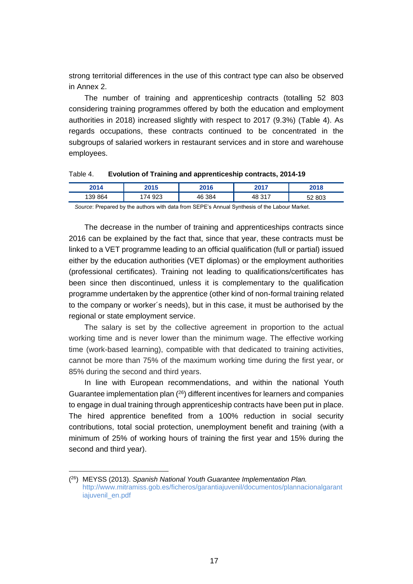strong territorial differences in the use of this contract type can also be observed in Annex 2.

The number of training and apprenticeship contracts (totalling 52 803 considering training programmes offered by both the education and employment authorities in 2018) increased slightly with respect to 2017 (9.3%) (Table 4). As regards occupations, these contracts continued to be concentrated in the subgroups of salaried workers in restaurant services and in store and warehouse employees.

| Table 4. |  | Evolution of Training and apprenticeship contracts, 2014-19 |
|----------|--|-------------------------------------------------------------|
|----------|--|-------------------------------------------------------------|

| 204/<br>2014 | 2015      | 2016            | ד גמי          | 2018            |
|--------------|-----------|-----------------|----------------|-----------------|
| 139 864      | 923<br>74 | 384<br>ໍົ<br>Δŀ | 247<br>48<br>™ | 803<br>- -<br>ັ |

*Source*: Prepared by the authors with data from SEPE's Annual Synthesis of the Labour Market.

The decrease in the number of training and apprenticeships contracts since 2016 can be explained by the fact that, since that year, these contracts must be linked to a VET programme leading to an official qualification (full or partial) issued either by the education authorities (VET diplomas) or the employment authorities (professional certificates). Training not leading to qualifications/certificates has been since then discontinued, unless it is complementary to the qualification programme undertaken by the apprentice (other kind of non-formal training related to the company or worker´s needs), but in this case, it must be authorised by the regional or state employment service.

The salary is set by the collective agreement in proportion to the actual working time and is never lower than the minimum wage. The effective working time (work-based learning), compatible with that dedicated to training activities, cannot be more than 75% of the maximum working time during the first year, or 85% during the second and third years.

In line with European recommendations, and within the national Youth Guarantee implementation plan ( <sup>26</sup>) different incentives for learners and companies to engage in dual training through apprenticeship contracts have been put in place. The hired apprentice benefited from a 100% reduction in social security contributions, total social protection, unemployment benefit and training (with a minimum of 25% of working hours of training the first year and 15% during the second and third year).

<sup>(</sup> <sup>26</sup>) MEYSS (2013). *Spanish National Youth Guarantee Implementation Plan.* [http://www.mitramiss.gob.es/ficheros/garantiajuvenil/documentos/plannacionalgarant](http://www.mitramiss.gob.es/ficheros/garantiajuvenil/documentos/plannacionalgarantiajuvenil_es.pdf) [iajuvenil\\_en.pdf](http://www.mitramiss.gob.es/ficheros/garantiajuvenil/documentos/plannacionalgarantiajuvenil_es.pdf)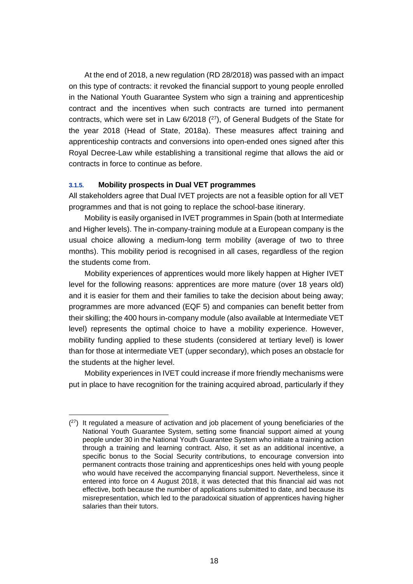At the end of 2018, a new regulation (RD 28/2018) was passed with an impact on this type of contracts: it revoked the financial support to young people enrolled in the National Youth Guarantee System who sign a training and apprenticeship contract and the incentives when such contracts are turned into permanent contracts, which were set in Law 6/2018 (<sup>27</sup>), of General Budgets of the State for the year 2018 (Head of State, 2018a). These measures affect training and apprenticeship contracts and conversions into open-ended ones signed after this Royal Decree-Law while establishing a transitional regime that allows the aid or contracts in force to continue as before.

#### <span id="page-18-0"></span>**3.1.5. Mobility prospects in Dual VET programmes**

All stakeholders agree that Dual IVET projects are not a feasible option for all VET programmes and that is not going to replace the school-base itinerary.

Mobility is easily organised in IVET programmes in Spain (both at Intermediate and Higher levels). The in-company-training module at a European company is the usual choice allowing a medium-long term mobility (average of two to three months). This mobility period is recognised in all cases, regardless of the region the students come from.

Mobility experiences of apprentices would more likely happen at Higher IVET level for the following reasons: apprentices are more mature (over 18 years old) and it is easier for them and their families to take the decision about being away; programmes are more advanced (EQF 5) and companies can benefit better from their skilling; the 400 hours in-company module (also available at Intermediate VET level) represents the optimal choice to have a mobility experience. However, mobility funding applied to these students (considered at tertiary level) is lower than for those at intermediate VET (upper secondary), which poses an obstacle for the students at the higher level.

Mobility experiences in IVET could increase if more friendly mechanisms were put in place to have recognition for the training acquired abroad, particularly if they

 $(27)$  It regulated a measure of activation and job placement of young beneficiaries of the National Youth Guarantee System, setting some financial support aimed at young people under 30 in the National Youth Guarantee System who initiate a training action through a training and learning contract. Also, it set as an additional incentive, a specific bonus to the Social Security contributions, to encourage conversion into permanent contracts those training and apprenticeships ones held with young people who would have received the accompanying financial support. Nevertheless, since it entered into force on 4 August 2018, it was detected that this financial aid was not effective, both because the number of applications submitted to date, and because its misrepresentation, which led to the paradoxical situation of apprentices having higher salaries than their tutors.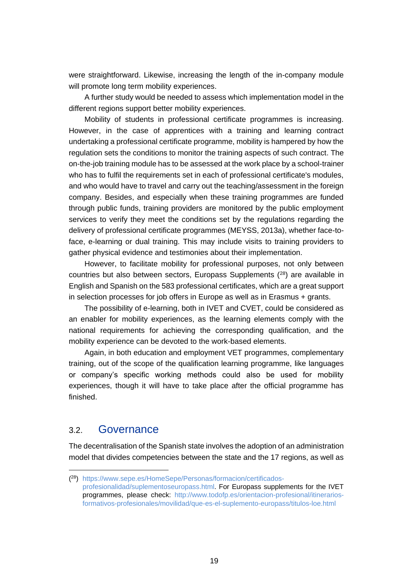were straightforward. Likewise, increasing the length of the in-company module will promote long term mobility experiences.

A further study would be needed to assess which implementation model in the different regions support better mobility experiences.

Mobility of students in professional certificate programmes is increasing. However, in the case of apprentices with a training and learning contract undertaking a professional certificate programme, mobility is hampered by how the regulation sets the conditions to monitor the training aspects of such contract. The on-the-job training module has to be assessed at the work place by a school-trainer who has to fulfil the requirements set in each of professional certificate's modules, and who would have to travel and carry out the teaching/assessment in the foreign company. Besides, and especially when these training programmes are funded through public funds, training providers are monitored by the public employment services to verify they meet the conditions set by the regulations regarding the delivery of professional certificate programmes (MEYSS, 2013a), whether face-toface, e-learning or dual training. This may include visits to training providers to gather physical evidence and testimonies about their implementation.

However, to facilitate mobility for professional purposes, not only between countries but also between sectors, Europass Supplements (<sup>28</sup>) are available in English and Spanish on the 583 professional certificates, which are a great support in selection processes for job offers in Europe as well as in Erasmus + grants.

The possibility of e-learning, both in IVET and CVET, could be considered as an enabler for mobility experiences, as the learning elements comply with the national requirements for achieving the corresponding qualification, and the mobility experience can be devoted to the work-based elements.

Again, in both education and employment VET programmes, complementary training, out of the scope of the qualification learning programme, like languages or company's specific working methods could also be used for mobility experiences, though it will have to take place after the official programme has finished.

#### <span id="page-19-0"></span>3.2. Governance

The decentralisation of the Spanish state involves the adoption of an administration model that divides competencies between the state and the 17 regions, as well as

<sup>(</sup> <sup>28</sup>) [https://www.sepe.es/HomeSepe/Personas/formacion/certificados](https://www.sepe.es/HomeSepe/Personas/formacion/certificados-profesionalidad/suplementoseuropass.html)[profesionalidad/suplementoseuropass.html.](https://www.sepe.es/HomeSepe/Personas/formacion/certificados-profesionalidad/suplementoseuropass.html) For Europass supplements for the IVET programmes, please check: [http://www.todofp.es/orientacion-profesional/itinerarios](http://www.todofp.es/orientacion-profesional/itinerarios-formativos-profesionales/movilidad/que-es-el-suplemento-europass/titulos-loe.html)[formativos-profesionales/movilidad/que-es-el-suplemento-europass/titulos-loe.html](http://www.todofp.es/orientacion-profesional/itinerarios-formativos-profesionales/movilidad/que-es-el-suplemento-europass/titulos-loe.html)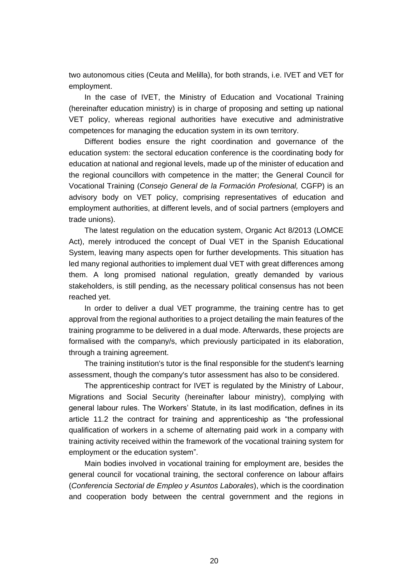two autonomous cities (Ceuta and Melilla), for both strands, i.e. IVET and VET for employment.

In the case of IVET, the Ministry of Education and Vocational Training (hereinafter education ministry) is in charge of proposing and setting up national VET policy, whereas regional authorities have executive and administrative competences for managing the education system in its own territory.

Different bodies ensure the right coordination and governance of the education system: the sectoral education conference is the coordinating body for education at national and regional levels, made up of the minister of education and the regional councillors with competence in the matter; the General Council for Vocational Training (*Consejo General de la Formación Profesional,* CGFP) is an advisory body on VET policy, comprising representatives of education and employment authorities, at different levels, and of social partners (employers and trade unions).

The latest regulation on the education system, Organic Act 8/2013 (LOMCE Act), merely introduced the concept of Dual VET in the Spanish Educational System, leaving many aspects open for further developments. This situation has led many regional authorities to implement dual VET with great differences among them. A long promised national regulation, greatly demanded by various stakeholders, is still pending, as the necessary political consensus has not been reached yet.

In order to deliver a dual VET programme, the training centre has to get approval from the regional authorities to a project detailing the main features of the training programme to be delivered in a dual mode. Afterwards, these projects are formalised with the company/s, which previously participated in its elaboration, through a training agreement.

The training institution's tutor is the final responsible for the student's learning assessment, though the company's tutor assessment has also to be considered.

The apprenticeship contract for IVET is regulated by the Ministry of Labour, Migrations and Social Security (hereinafter labour ministry), complying with general labour rules. The Workers' Statute, in its last modification, defines in its article 11.2 the contract for training and apprenticeship as "the professional qualification of workers in a scheme of alternating paid work in a company with training activity received within the framework of the vocational training system for employment or the education system".

Main bodies involved in vocational training for employment are, besides the general council for vocational training, the sectoral conference on labour affairs (*Conferencia Sectorial de Empleo y Asuntos Laborales*), which is the coordination and cooperation body between the central government and the regions in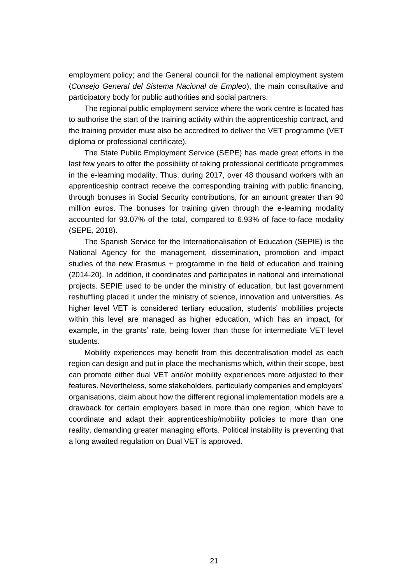employment policy; and the General council for the national employment system (*Consejo General del Sistema Nacional de Empleo*), the main consultative and participatory body for public authorities and social partners.

The regional public employment service where the work centre is located has to authorise the start of the training activity within the apprenticeship contract, and the training provider must also be accredited to deliver the VET programme (VET diploma or professional certificate).

The State Public Employment Service (SEPE) has made great efforts in the last few years to offer the possibility of taking professional certificate programmes in the e-learning modality. Thus, during 2017, over 48 thousand workers with an apprenticeship contract receive the corresponding training with public financing, through bonuses in Social Security contributions, for an amount greater than 90 million euros. The bonuses for training given through the e-learning modality accounted for 93.07% of the total, compared to 6.93% of face-to-face modality (SEPE, 2018).

The Spanish Service for the Internationalisation of Education (SEPIE) is the National Agency for the management, dissemination, promotion and impact studies of the new Erasmus + programme in the field of education and training (2014-20). In addition, it coordinates and participates in national and international projects. SEPIE used to be under the ministry of education, but last government reshuffling placed it under the ministry of science, innovation and universities. As higher level VET is considered tertiary education, students' mobilities projects within this level are managed as higher education, which has an impact, for example, in the grants' rate, being lower than those for intermediate VET level students.

Mobility experiences may benefit from this decentralisation model as each region can design and put in place the mechanisms which, within their scope, best can promote either dual VET and/or mobility experiences more adjusted to their features. Nevertheless, some stakeholders, particularly companies and employers' organisations, claim about how the different regional implementation models are a drawback for certain employers based in more than one region, which have to coordinate and adapt their apprenticeship/mobility policies to more than one reality, demanding greater managing efforts. Political instability is preventing that a long awaited regulation on Dual VET is approved.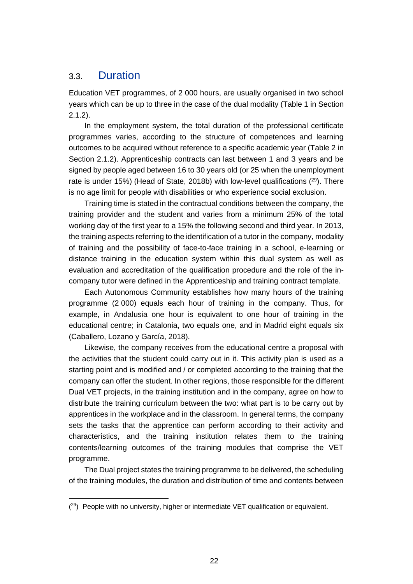### <span id="page-22-0"></span>3.3. Duration

 $\overline{a}$ 

Education VET programmes, of 2 000 hours, are usually organised in two school years which can be up to three in the case of the dual modality (Table 1 in Section 2.1.2).

In the employment system, the total duration of the professional certificate programmes varies, according to the structure of competences and learning outcomes to be acquired without reference to a specific academic year (Table 2 in Section 2.1.2). Apprenticeship contracts can last between 1 and 3 years and be signed by people aged between 16 to 30 years old (or 25 when the unemployment rate is under 15%) (Head of State, 2018b) with low-level qualifications  $(29)$ . There is no age limit for people with disabilities or who experience social exclusion.

Training time is stated in the contractual conditions between the company, the training provider and the student and varies from a minimum 25% of the total working day of the first year to a 15% the following second and third year. In 2013, the training aspects referring to the identification of a tutor in the company, modality of training and the possibility of face-to-face training in a school, e-learning or distance training in the education system within this dual system as well as evaluation and accreditation of the qualification procedure and the role of the incompany tutor were defined in the Apprenticeship and training contract template.

Each Autonomous Community establishes how many hours of the training programme (2 000) equals each hour of training in the company. Thus, for example, in Andalusia one hour is equivalent to one hour of training in the educational centre; in Catalonia, two equals one, and in Madrid eight equals six (Caballero, Lozano y García, 2018).

Likewise, the company receives from the educational centre a proposal with the activities that the student could carry out in it. This activity plan is used as a starting point and is modified and / or completed according to the training that the company can offer the student. In other regions, those responsible for the different Dual VET projects, in the training institution and in the company, agree on how to distribute the training curriculum between the two: what part is to be carry out by apprentices in the workplace and in the classroom. In general terms, the company sets the tasks that the apprentice can perform according to their activity and characteristics, and the training institution relates them to the training contents/learning outcomes of the training modules that comprise the VET programme.

The Dual project states the training programme to be delivered, the scheduling of the training modules, the duration and distribution of time and contents between

<sup>(&</sup>lt;sup>29</sup>) People with no university, higher or intermediate VET qualification or equivalent.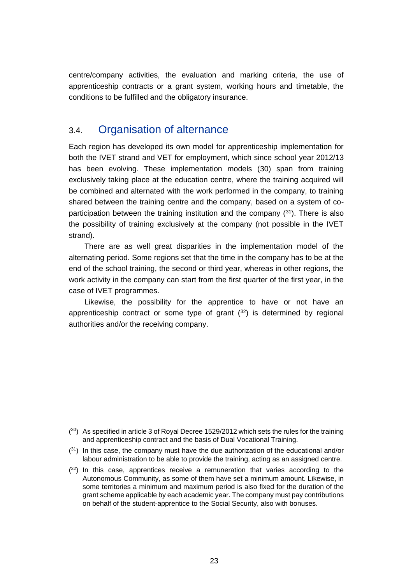centre/company activities, the evaluation and marking criteria, the use of apprenticeship contracts or a grant system, working hours and timetable, the conditions to be fulfilled and the obligatory insurance.

## <span id="page-23-0"></span>3.4. Organisation of alternance

Each region has developed its own model for apprenticeship implementation for both the IVET strand and VET for employment, which since school year 2012/13 has been evolving. These implementation models (30) span from training exclusively taking place at the education centre, where the training acquired will be combined and alternated with the work performed in the company, to training shared between the training centre and the company, based on a system of coparticipation between the training institution and the company  $(31)$ . There is also the possibility of training exclusively at the company (not possible in the IVET strand).

There are as well great disparities in the implementation model of the alternating period. Some regions set that the time in the company has to be at the end of the school training, the second or third year, whereas in other regions, the work activity in the company can start from the first quarter of the first year, in the case of IVET programmes.

Likewise, the possibility for the apprentice to have or not have an apprenticeship contract or some type of grant  $(32)$  is determined by regional authorities and/or the receiving company.

 $(30)$  As specified in article 3 of Royal Decree 1529/2012 which sets the rules for the training and apprenticeship contract and the basis of Dual Vocational Training.

 $(3<sup>1</sup>)$  In this case, the company must have the due authorization of the educational and/or labour administration to be able to provide the training, acting as an assigned centre.

 $(32)$  In this case, apprentices receive a remuneration that varies according to the Autonomous Community, as some of them have set a minimum amount. Likewise, in some territories a minimum and maximum period is also fixed for the duration of the grant scheme applicable by each academic year. The company must pay contributions on behalf of the student-apprentice to the Social Security, also with bonuses.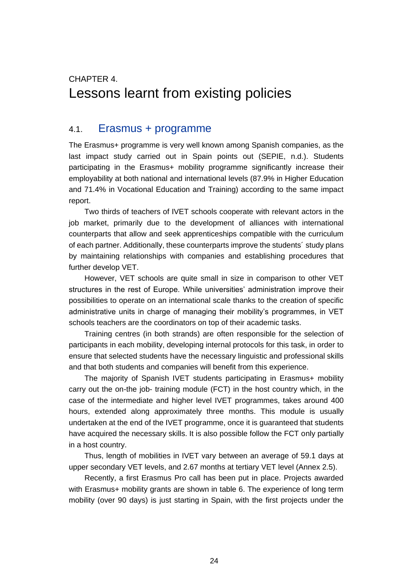# <span id="page-24-0"></span>CHAPTER 4. Lessons learnt from existing policies

#### <span id="page-24-1"></span>4.1. Erasmus + programme

The Erasmus+ programme is very well known among Spanish companies, as the last impact study carried out in Spain points out (SEPIE, n.d.). Students participating in the Erasmus+ mobility programme significantly increase their employability at both national and international levels (87.9% in Higher Education and 71.4% in Vocational Education and Training) according to the same impact report.

Two thirds of teachers of IVET schools cooperate with relevant actors in the job market, primarily due to the development of alliances with international counterparts that allow and seek apprenticeships compatible with the curriculum of each partner. Additionally, these counterparts improve the students´ study plans by maintaining relationships with companies and establishing procedures that further develop VET.

However, VET schools are quite small in size in comparison to other VET structures in the rest of Europe. While universities' administration improve their possibilities to operate on an international scale thanks to the creation of specific administrative units in charge of managing their mobility's programmes, in VET schools teachers are the coordinators on top of their academic tasks.

Training centres (in both strands) are often responsible for the selection of participants in each mobility, developing internal protocols for this task, in order to ensure that selected students have the necessary linguistic and professional skills and that both students and companies will benefit from this experience.

The majority of Spanish IVET students participating in Erasmus+ mobility carry out the on-the job- training module (FCT) in the host country which, in the case of the intermediate and higher level IVET programmes, takes around 400 hours, extended along approximately three months. This module is usually undertaken at the end of the IVET programme, once it is guaranteed that students have acquired the necessary skills. It is also possible follow the FCT only partially in a host country.

Thus, length of mobilities in IVET vary between an average of 59.1 days at upper secondary VET levels, and 2.67 months at tertiary VET level (Annex 2.5).

Recently, a first Erasmus Pro call has been put in place. Projects awarded with Erasmus+ mobility grants are shown in table 6. The experience of long term mobility (over 90 days) is just starting in Spain, with the first projects under the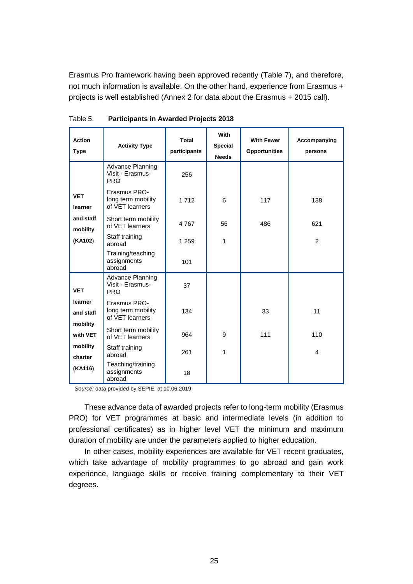Erasmus Pro framework having been approved recently (Table 7), and therefore, not much information is available. On the other hand, experience from Erasmus + projects is well established (Annex 2 for data about the Erasmus + 2015 call).

| <b>Action</b><br><b>Type</b> | <b>Activity Type</b>                                  | <b>Total</b><br>participants | With<br><b>Special</b><br><b>Needs</b> | <b>With Fewer</b><br><b>Opportunities</b> | Accompanying<br>persons |
|------------------------------|-------------------------------------------------------|------------------------------|----------------------------------------|-------------------------------------------|-------------------------|
|                              | Advance Planning<br>Visit - Erasmus-<br><b>PRO</b>    | 256                          |                                        |                                           |                         |
| <b>VET</b><br>learner        | Erasmus PRO-<br>long term mobility<br>of VET learners | 1 7 1 2                      | 6                                      | 117                                       | 138                     |
| and staff<br>mobility        | Short term mobility<br>of VET learners                | 4767                         | 56                                     | 486                                       | 621                     |
| (KA102)                      | Staff training<br>abroad                              | 1 2 5 9                      | 1                                      |                                           | 2                       |
|                              | Training/teaching<br>assignments<br>abroad            | 101                          |                                        |                                           |                         |
| <b>VET</b>                   | Advance Planning<br>Visit - Erasmus-<br><b>PRO</b>    | 37                           |                                        |                                           |                         |
| learner<br>and staff         | Erasmus PRO-<br>long term mobility<br>of VET learners | 134                          |                                        | 33                                        | 11                      |
| mobility<br>with VET         | Short term mobility<br>of VET learners                | 964                          | 9                                      | 111                                       | 110                     |
| mobility<br>charter          | Staff training<br>abroad                              | 261                          | 1                                      |                                           | 4                       |
| (KA116)                      | Teaching/training<br>assignments<br>abroad            | 18                           |                                        |                                           |                         |

Table 5. **Participants in Awarded Projects 2018**

*Source:* data provided by SEPIE, at 10.06.2019

These advance data of awarded projects refer to long-term mobility (Erasmus PRO) for VET programmes at basic and intermediate levels (in addition to professional certificates) as in higher level VET the minimum and maximum duration of mobility are under the parameters applied to higher education.

In other cases, mobility experiences are available for VET recent graduates, which take advantage of mobility programmes to go abroad and gain work experience, language skills or receive training complementary to their VET degrees.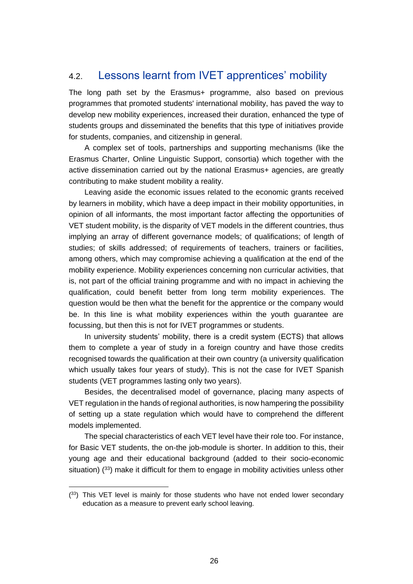## <span id="page-26-0"></span>4.2. Lessons learnt from IVET apprentices' mobility

The long path set by the Erasmus+ programme, also based on previous programmes that promoted students' international mobility, has paved the way to develop new mobility experiences, increased their duration, enhanced the type of students groups and disseminated the benefits that this type of initiatives provide for students, companies, and citizenship in general.

A complex set of tools, partnerships and supporting mechanisms (like the Erasmus Charter, Online Linguistic Support, consortia) which together with the active dissemination carried out by the national Erasmus+ agencies, are greatly contributing to make student mobility a reality.

Leaving aside the economic issues related to the economic grants received by learners in mobility, which have a deep impact in their mobility opportunities, in opinion of all informants, the most important factor affecting the opportunities of VET student mobility, is the disparity of VET models in the different countries, thus implying an array of different governance models; of qualifications; of length of studies; of skills addressed; of requirements of teachers, trainers or facilities, among others, which may compromise achieving a qualification at the end of the mobility experience. Mobility experiences concerning non curricular activities, that is, not part of the official training programme and with no impact in achieving the qualification, could benefit better from long term mobility experiences. The question would be then what the benefit for the apprentice or the company would be. In this line is what mobility experiences within the youth guarantee are focussing, but then this is not for IVET programmes or students.

In university students' mobility, there is a credit system (ECTS) that allows them to complete a year of study in a foreign country and have those credits recognised towards the qualification at their own country (a university qualification which usually takes four years of study). This is not the case for IVET Spanish students (VET programmes lasting only two years).

Besides, the decentralised model of governance, placing many aspects of VET regulation in the hands of regional authorities, is now hampering the possibility of setting up a state regulation which would have to comprehend the different models implemented.

The special characteristics of each VET level have their role too. For instance, for Basic VET students, the on-the job-module is shorter. In addition to this, their young age and their educational background (added to their socio-economic situation)  $(33)$  make it difficult for them to engage in mobility activities unless other

 $\overline{a}$ 

 $(33)$  This VET level is mainly for those students who have not ended lower secondary education as a measure to prevent early school leaving.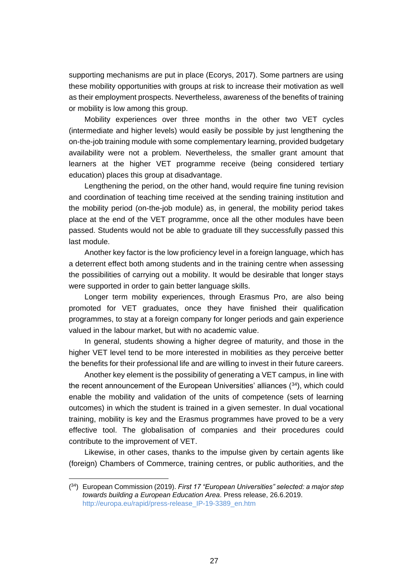supporting mechanisms are put in place (Ecorys, 2017). Some partners are using these mobility opportunities with groups at risk to increase their motivation as well as their employment prospects. Nevertheless, awareness of the benefits of training or mobility is low among this group.

Mobility experiences over three months in the other two VET cycles (intermediate and higher levels) would easily be possible by just lengthening the on-the-job training module with some complementary learning, provided budgetary availability were not a problem. Nevertheless, the smaller grant amount that learners at the higher VET programme receive (being considered tertiary education) places this group at disadvantage.

Lengthening the period, on the other hand, would require fine tuning revision and coordination of teaching time received at the sending training institution and the mobility period (on-the-job module) as, in general, the mobility period takes place at the end of the VET programme, once all the other modules have been passed. Students would not be able to graduate till they successfully passed this last module.

Another key factor is the low proficiency level in a foreign language, which has a deterrent effect both among students and in the training centre when assessing the possibilities of carrying out a mobility. It would be desirable that longer stays were supported in order to gain better language skills.

Longer term mobility experiences, through Erasmus Pro, are also being promoted for VET graduates, once they have finished their qualification programmes, to stay at a foreign company for longer periods and gain experience valued in the labour market, but with no academic value.

In general, students showing a higher degree of maturity, and those in the higher VET level tend to be more interested in mobilities as they perceive better the benefits for their professional life and are willing to invest in their future careers.

Another key element is the possibility of generating a VET campus, in line with the recent announcement of the European Universities' alliances  $(34)$ , which could enable the mobility and validation of the units of competence (sets of learning outcomes) in which the student is trained in a given semester. In dual vocational training, mobility is key and the Erasmus programmes have proved to be a very effective tool. The globalisation of companies and their procedures could contribute to the improvement of VET.

Likewise, in other cases, thanks to the impulse given by certain agents like (foreign) Chambers of Commerce, training centres, or public authorities, and the

<sup>(</sup> <sup>34</sup>) European Commission (2019). *First 17 "European Universities" selected: a major step towards building a European Education Area*. Press release, 26.6.2019. [http://europa.eu/rapid/press-release\\_IP-19-3389\\_en.htm](http://europa.eu/rapid/press-release_IP-19-3389_en.htm)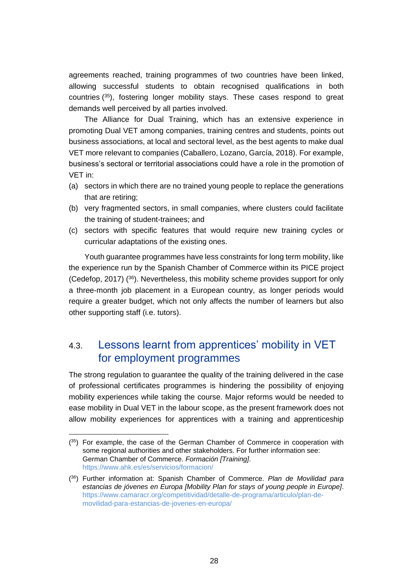agreements reached, training programmes of two countries have been linked, allowing successful students to obtain recognised qualifications in both countries ( <sup>35</sup>), fostering longer mobility stays. These cases respond to great demands well perceived by all parties involved.

The Alliance for Dual Training, which has an extensive experience in promoting Dual VET among companies, training centres and students, points out business associations, at local and sectoral level, as the best agents to make dual VET more relevant to companies (Caballero, Lozano, García, 2018). For example, business's sectoral or territorial associations could have a role in the promotion of VET in:

- (a) sectors in which there are no trained young people to replace the generations that are retiring;
- (b) very fragmented sectors, in small companies, where clusters could facilitate the training of student-trainees; and
- (c) sectors with specific features that would require new training cycles or curricular adaptations of the existing ones.

Youth guarantee programmes have less constraints for long term mobility, like the experience run by the Spanish Chamber of Commerce within its PICE project (Cedefop, 2017) ( <sup>36</sup>). Nevertheless, this mobility scheme provides support for only a three-month job placement in a European country, as longer periods would require a greater budget, which not only affects the number of learners but also other supporting staff (i.e. tutors).

## <span id="page-28-0"></span>4.3. Lessons learnt from apprentices' mobility in VET for employment programmes

The strong regulation to guarantee the quality of the training delivered in the case of professional certificates programmes is hindering the possibility of enjoying mobility experiences while taking the course. Major reforms would be needed to ease mobility in Dual VET in the labour scope, as the present framework does not allow mobility experiences for apprentices with a training and apprenticeship

 $\overline{a}$ 

 $(35)$  For example, the case of the German Chamber of Commerce in cooperation with some regional authorities and other stakeholders. For further information see: German Chamber of Commerce. *Formación [Training]*. <https://www.ahk.es/es/servicios/formacion/>

<sup>(</sup> <sup>36</sup>) Further information at: Spanish Chamber of Commerce. *Plan de Movilidad para estancias de jóvenes en Europa [Mobility Plan for stays of young people in Europe]*. [https://www.camaracr.org/competitividad/detalle-de-programa/articulo/plan-de](https://www.camaracr.org/competitividad/detalle-de-programa/articulo/plan-de-movilidad-para-estancias-de-jovenes-en-europa/)[movilidad-para-estancias-de-jovenes-en-europa/](https://www.camaracr.org/competitividad/detalle-de-programa/articulo/plan-de-movilidad-para-estancias-de-jovenes-en-europa/)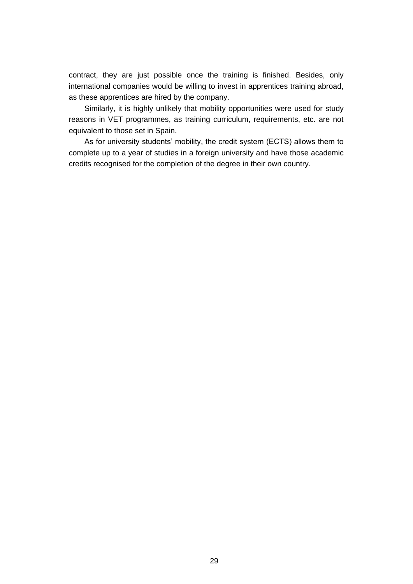contract, they are just possible once the training is finished. Besides, only international companies would be willing to invest in apprentices training abroad, as these apprentices are hired by the company.

Similarly, it is highly unlikely that mobility opportunities were used for study reasons in VET programmes, as training curriculum, requirements, etc. are not equivalent to those set in Spain.

As for university students' mobility, the credit system (ECTS) allows them to complete up to a year of studies in a foreign university and have those academic credits recognised for the completion of the degree in their own country.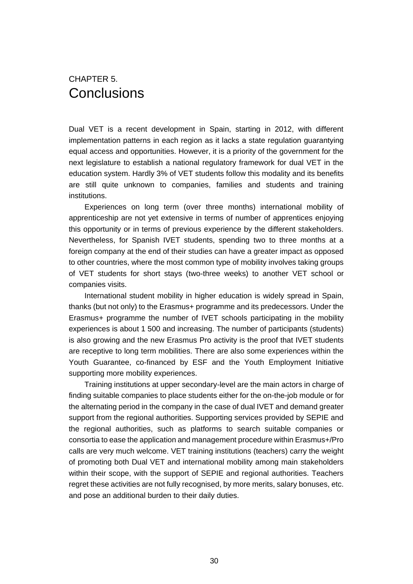## <span id="page-30-0"></span>CHAPTER 5. **Conclusions**

Dual VET is a recent development in Spain, starting in 2012, with different implementation patterns in each region as it lacks a state regulation guarantying equal access and opportunities. However, it is a priority of the government for the next legislature to establish a national regulatory framework for dual VET in the education system. Hardly 3% of VET students follow this modality and its benefits are still quite unknown to companies, families and students and training institutions.

Experiences on long term (over three months) international mobility of apprenticeship are not yet extensive in terms of number of apprentices enjoying this opportunity or in terms of previous experience by the different stakeholders. Nevertheless, for Spanish IVET students, spending two to three months at a foreign company at the end of their studies can have a greater impact as opposed to other countries, where the most common type of mobility involves taking groups of VET students for short stays (two-three weeks) to another VET school or companies visits.

International student mobility in higher education is widely spread in Spain, thanks (but not only) to the Erasmus+ programme and its predecessors. Under the Erasmus+ programme the number of IVET schools participating in the mobility experiences is about 1 500 and increasing. The number of participants (students) is also growing and the new Erasmus Pro activity is the proof that IVET students are receptive to long term mobilities. There are also some experiences within the Youth Guarantee, co-financed by ESF and the Youth Employment Initiative supporting more mobility experiences.

Training institutions at upper secondary-level are the main actors in charge of finding suitable companies to place students either for the on-the-job module or for the alternating period in the company in the case of dual IVET and demand greater support from the regional authorities. Supporting services provided by SEPIE and the regional authorities, such as platforms to search suitable companies or consortia to ease the application and management procedure within Erasmus+/Pro calls are very much welcome. VET training institutions (teachers) carry the weight of promoting both Dual VET and international mobility among main stakeholders within their scope, with the support of SEPIE and regional authorities. Teachers regret these activities are not fully recognised, by more merits, salary bonuses, etc. and pose an additional burden to their daily duties.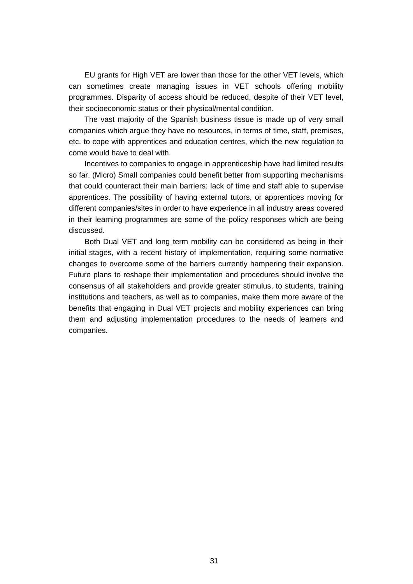EU grants for High VET are lower than those for the other VET levels, which can sometimes create managing issues in VET schools offering mobility programmes. Disparity of access should be reduced, despite of their VET level, their socioeconomic status or their physical/mental condition.

The vast majority of the Spanish business tissue is made up of very small companies which argue they have no resources, in terms of time, staff, premises, etc. to cope with apprentices and education centres, which the new regulation to come would have to deal with.

Incentives to companies to engage in apprenticeship have had limited results so far. (Micro) Small companies could benefit better from supporting mechanisms that could counteract their main barriers: lack of time and staff able to supervise apprentices. The possibility of having external tutors, or apprentices moving for different companies/sites in order to have experience in all industry areas covered in their learning programmes are some of the policy responses which are being discussed.

Both Dual VET and long term mobility can be considered as being in their initial stages, with a recent history of implementation, requiring some normative changes to overcome some of the barriers currently hampering their expansion. Future plans to reshape their implementation and procedures should involve the consensus of all stakeholders and provide greater stimulus, to students, training institutions and teachers, as well as to companies, make them more aware of the benefits that engaging in Dual VET projects and mobility experiences can bring them and adjusting implementation procedures to the needs of learners and companies.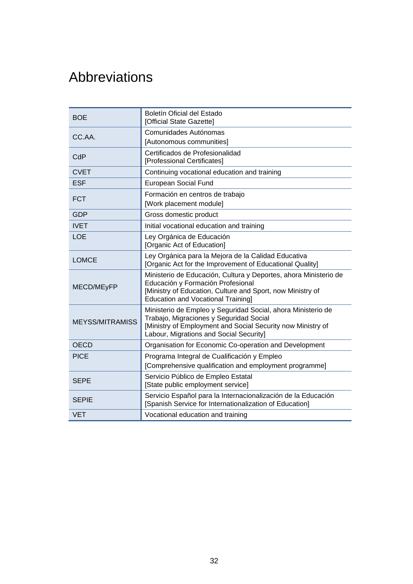# <span id="page-32-0"></span>Abbreviations

| <b>BOE</b>             | Boletín Oficial del Estado<br>[Official State Gazette]                                                                                                                                                            |
|------------------------|-------------------------------------------------------------------------------------------------------------------------------------------------------------------------------------------------------------------|
| CC.AA.                 | Comunidades Autónomas<br>[Autonomous communities]                                                                                                                                                                 |
| CdP                    | Certificados de Profesionalidad<br>[Professional Certificates]                                                                                                                                                    |
| <b>CVET</b>            | Continuing vocational education and training                                                                                                                                                                      |
| <b>ESF</b>             | European Social Fund                                                                                                                                                                                              |
| <b>FCT</b>             | Formación en centros de trabajo<br>[Work placement module]                                                                                                                                                        |
| <b>GDP</b>             | Gross domestic product                                                                                                                                                                                            |
| <b>IVET</b>            | Initial vocational education and training                                                                                                                                                                         |
| <b>LOE</b>             | Ley Orgánica de Educación<br>[Organic Act of Education]                                                                                                                                                           |
| <b>LOMCE</b>           | Ley Orgánica para la Mejora de la Calidad Educativa<br>[Organic Act for the Improvement of Educational Quality]                                                                                                   |
| MECD/MEyFP             | Ministerio de Educación, Cultura y Deportes, ahora Ministerio de<br>Educación y Formación Profesional<br>[Ministry of Education, Culture and Sport, now Ministry of<br><b>Education and Vocational Training]</b>  |
| <b>MEYSS/MITRAMISS</b> | Ministerio de Empleo y Seguridad Social, ahora Ministerio de<br>Trabajo, Migraciones y Seguridad Social<br>[Ministry of Employment and Social Security now Ministry of<br>Labour, Migrations and Social Security] |
| <b>OECD</b>            | Organisation for Economic Co-operation and Development                                                                                                                                                            |
| <b>PICE</b>            | Programa Integral de Cualificación y Empleo<br>[Comprehensive qualification and employment programme]                                                                                                             |
| <b>SEPE</b>            | Servicio Público de Empleo Estatal<br>[State public employment service]                                                                                                                                           |
| <b>SEPIE</b>           | Servicio Español para la Internacionalización de la Educación<br>[Spanish Service for Internationalization of Education]                                                                                          |
| <b>VET</b>             | Vocational education and training                                                                                                                                                                                 |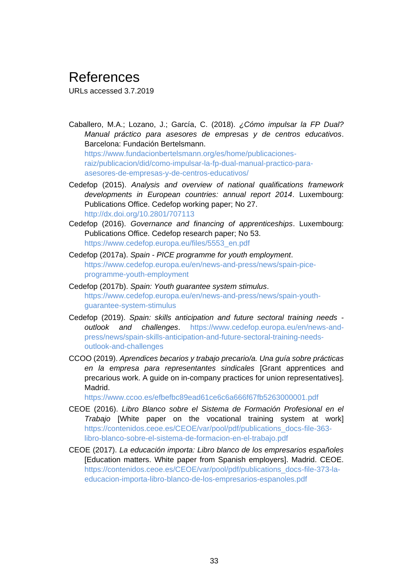# <span id="page-33-0"></span>References

URLs accessed 3.7.2019

- Caballero, M.A.; Lozano, J.; García, C. (2018). *¿Cómo impulsar la FP Dual? Manual práctico para asesores de empresas y de centros educativos*. Barcelona: Fundación Bertelsmann. [https://www.fundacionbertelsmann.org/es/home/publicaciones](https://www.fundacionbertelsmann.org/es/home/publicaciones-raiz/publicacion/did/como-impulsar-la-fp-dual-manual-practico-para-asesores-de-empresas-y-de-centros-educativos/)[raiz/publicacion/did/como-impulsar-la-fp-dual-manual-practico-para](https://www.fundacionbertelsmann.org/es/home/publicaciones-raiz/publicacion/did/como-impulsar-la-fp-dual-manual-practico-para-asesores-de-empresas-y-de-centros-educativos/)[asesores-de-empresas-y-de-centros-educativos/](https://www.fundacionbertelsmann.org/es/home/publicaciones-raiz/publicacion/did/como-impulsar-la-fp-dual-manual-practico-para-asesores-de-empresas-y-de-centros-educativos/)
- Cedefop (2015). *Analysis and overview of national qualifications framework developments in European countries: annual report 2014*. Luxembourg: Publications Office. Cedefop working paper; No 27. <http://dx.doi.org/10.2801/707113>
- Cedefop (2016). *Governance and financing of apprenticeships*. Luxembourg: Publications Office. Cedefop research paper; No 53. [https://www.cedefop.europa.eu/files/5553\\_en.pdf](https://www.cedefop.europa.eu/files/5553_en.pdf)
- Cedefop (2017a). *Spain - PICE programme for youth employment*. [https://www.cedefop.europa.eu/en/news-and-press/news/spain-pice](https://www.cedefop.europa.eu/en/news-and-press/news/spain-pice-programme-youth-employment)[programme-youth-employment](https://www.cedefop.europa.eu/en/news-and-press/news/spain-pice-programme-youth-employment)
- Cedefop (2017b). *Spain: Youth guarantee system stimulus*. [https://www.cedefop.europa.eu/en/news-and-press/news/spain-youth](https://www.cedefop.europa.eu/en/news-and-press/news/spain-youth-guarantee-system-stimulus)[guarantee-system-stimulus](https://www.cedefop.europa.eu/en/news-and-press/news/spain-youth-guarantee-system-stimulus)
- Cedefop (2019). *Spain: skills anticipation and future sectoral training needs outlook and challenges*. [https://www.cedefop.europa.eu/en/news-and](https://www.cedefop.europa.eu/en/news-and-press/news/spain-skills-anticipation-and-future-sectoral-training-needs-outlook-and-challenges)[press/news/spain-skills-anticipation-and-future-sectoral-training-needs](https://www.cedefop.europa.eu/en/news-and-press/news/spain-skills-anticipation-and-future-sectoral-training-needs-outlook-and-challenges)[outlook-and-challenges](https://www.cedefop.europa.eu/en/news-and-press/news/spain-skills-anticipation-and-future-sectoral-training-needs-outlook-and-challenges)
- CCOO (2019). *Aprendices becarios y trabajo precario/a. Una guía sobre prácticas en la empresa para representantes sindicales* [Grant apprentices and precarious work. A guide on in-company practices for union representatives]. Madrid.

<https://www.ccoo.es/efbefbc89ead61ce6c6a666f67fb5263000001.pdf>

- CEOE (2016). *Libro Blanco sobre el Sistema de Formación Profesional en el Trabajo* [White paper on the vocational training system at work] [https://contenidos.ceoe.es/CEOE/var/pool/pdf/publications\\_docs-file-363](https://contenidos.ceoe.es/CEOE/var/pool/pdf/publications_docs-file-363-libro-blanco-sobre-el-sistema-de-formacion-en-el-trabajo.pdf) [libro-blanco-sobre-el-sistema-de-formacion-en-el-trabajo.pdf](https://contenidos.ceoe.es/CEOE/var/pool/pdf/publications_docs-file-363-libro-blanco-sobre-el-sistema-de-formacion-en-el-trabajo.pdf)
- CEOE (2017). *La educación importa: Libro blanco de los empresarios españoles* [Education matters. White paper from Spanish employers]. Madrid. CEOE. [https://contenidos.ceoe.es/CEOE/var/pool/pdf/publications\\_docs-file-373-la](https://contenidos.ceoe.es/CEOE/var/pool/pdf/publications_docs-file-373-la-educacion-importa-libro-blanco-de-los-empresarios-espanoles.pdf)[educacion-importa-libro-blanco-de-los-empresarios-espanoles.pdf](https://contenidos.ceoe.es/CEOE/var/pool/pdf/publications_docs-file-373-la-educacion-importa-libro-blanco-de-los-empresarios-espanoles.pdf)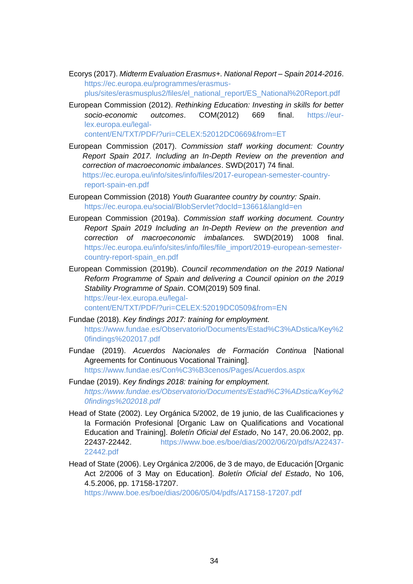Ecorys (2017). *Midterm Evaluation Erasmus+. National Report – Spain 2014-2016*. [https://ec.europa.eu/programmes/erasmus](https://ec.europa.eu/programmes/erasmus-plus/sites/erasmusplus2/files/el_national_report/ES_National%20Report.pdf)[plus/sites/erasmusplus2/files/el\\_national\\_report/ES\\_National%20Report.pdf](https://ec.europa.eu/programmes/erasmus-plus/sites/erasmusplus2/files/el_national_report/ES_National%20Report.pdf)

- European Commission (2012). *Rethinking Education: Investing in skills for better socio-economic outcomes*. COM(2012) 669 final. [https://eur](https://eur-lex.europa.eu/legal-content/EN/TXT/PDF/?uri=CELEX:52012DC0669&from=ET)[lex.europa.eu/legal](https://eur-lex.europa.eu/legal-content/EN/TXT/PDF/?uri=CELEX:52012DC0669&from=ET)[content/EN/TXT/PDF/?uri=CELEX:52012DC0669&from=ET](https://eur-lex.europa.eu/legal-content/EN/TXT/PDF/?uri=CELEX:52012DC0669&from=ET)
- European Commission (2017). *Commission staff working document: Country Report Spain 2017. Including an In-Depth Review on the prevention and correction of macroeconomic imbalances*. SWD(2017) 74 final. [https://ec.europa.eu/info/sites/info/files/2017-european-semester-country](https://ec.europa.eu/info/sites/info/files/2017-european-semester-country-report-spain-en.pdf)[report-spain-en.pdf](https://ec.europa.eu/info/sites/info/files/2017-european-semester-country-report-spain-en.pdf)
- European Commission (2018) *Youth Guarantee country by country: Spain*. <https://ec.europa.eu/social/BlobServlet?docId=13661&langId=en>
- European Commission (2019a). *Commission staff working document. Country Report Spain 2019 Including an In-Depth Review on the prevention and correction of macroeconomic imbalances.* SWD(2019) 1008 final. [https://ec.europa.eu/info/sites/info/files/file\\_import/2019-european-semester](https://ec.europa.eu/info/sites/info/files/file_import/2019-european-semester-country-report-spain_en.pdf)[country-report-spain\\_en.pdf](https://ec.europa.eu/info/sites/info/files/file_import/2019-european-semester-country-report-spain_en.pdf)
- European Commission (2019b). *Council recommendation on the 2019 National Reform Programme of Spain and delivering a Council opinion on the 2019 Stability Programme of Spain*. COM(2019) 509 final. [https://eur-lex.europa.eu/legal-](https://eur-lex.europa.eu/legal-content/EN/TXT/PDF/?uri=CELEX:52019DC0509&from=EN)

[content/EN/TXT/PDF/?uri=CELEX:52019DC0509&from=EN](https://eur-lex.europa.eu/legal-content/EN/TXT/PDF/?uri=CELEX:52019DC0509&from=EN)

- Fundae (2018). *Key findings 2017: training for employment.* [https://www.fundae.es/Observatorio/Documents/Estad%C3%ADstica/Key%2](https://www.fundae.es/Observatorio/Documents/Estad%C3%ADstica/Key%20findings%202017.pdf) [0findings%202017.pdf](https://www.fundae.es/Observatorio/Documents/Estad%C3%ADstica/Key%20findings%202017.pdf)
- Fundae (2019). *Acuerdos Nacionales de Formación Continua* [National Agreements for Continuous Vocational Training]. <https://www.fundae.es/Con%C3%B3cenos/Pages/Acuerdos.aspx>
- Fundae (2019). *Key findings 2018: training for employment. [https://www.fundae.es/Observatorio/Documents/Estad%C3%ADstica/Key%2](https://www.fundae.es/Observatorio/Documents/Estad%C3%ADstica/Key%20findings%202018.pdf) [0findings%202018.pdf](https://www.fundae.es/Observatorio/Documents/Estad%C3%ADstica/Key%20findings%202018.pdf)*
- Head of State (2002). Ley Orgánica 5/2002, de 19 junio, de las Cualificaciones y la Formación Profesional [Organic Law on Qualifications and Vocational Education and Training]. *Boletín Oficial del Estado*, No 147, 20.06.2002, pp. 22437-22442. [https://www.boe.es/boe/dias/2002/06/20/pdfs/A22437-](https://www.boe.es/boe/dias/2002/06/20/pdfs/A22437-22442.pdf) [22442.pdf](https://www.boe.es/boe/dias/2002/06/20/pdfs/A22437-22442.pdf)
- Head of State (2006). Ley Orgánica 2/2006, de 3 de mayo, de Educación [Organic Act 2/2006 of 3 May on Education]. *Boletín Oficial del Estado*, No 106, 4.5.2006, pp. 17158-17207.

<https://www.boe.es/boe/dias/2006/05/04/pdfs/A17158-17207.pdf>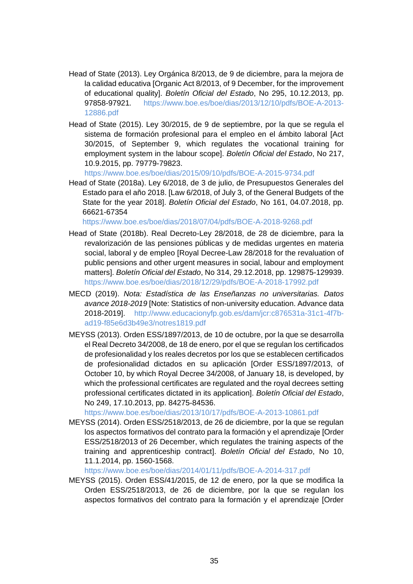- Head of State (2013). Ley Orgánica 8/2013, de 9 de diciembre, para la mejora de la calidad educativa [Organic Act 8/2013, of 9 December, for the improvement of educational quality]. *Boletín Oficial del Estado*, No 295, 10.12.2013, pp. 97858-97921*.* [https://www.boe.es/boe/dias/2013/12/10/pdfs/BOE-A-2013-](https://www.boe.es/boe/dias/2013/12/10/pdfs/BOE-A-2013-12886.pdf) [12886.pdf](https://www.boe.es/boe/dias/2013/12/10/pdfs/BOE-A-2013-12886.pdf)
- Head of State (2015). Ley 30/2015, de 9 de septiembre, por la que se regula el sistema de formación profesional para el empleo en el ámbito laboral [Act 30/2015, of September 9, which regulates the vocational training for employment system in the labour scope]. *Boletín Oficial del Estado*, No 217, 10.9.2015, pp. 79779-79823.

<https://www.boe.es/boe/dias/2015/09/10/pdfs/BOE-A-2015-9734.pdf>

Head of State (2018a). Ley 6/2018, de 3 de julio, de Presupuestos Generales del Estado para el año 2018. [Law 6/2018, of July 3, of the General Budgets of the State for the year 2018]. *Boletín Oficial del Estado*, No 161, 04.07.2018, pp. 66621-67354

<https://www.boe.es/boe/dias/2018/07/04/pdfs/BOE-A-2018-9268.pdf>

- Head of State (2018b). Real Decreto-Ley 28/2018, de 28 de diciembre, para la revalorización de las pensiones públicas y de medidas urgentes en materia social, laboral y de empleo [Royal Decree-Law 28/2018 for the revaluation of public pensions and other urgent measures in social, labour and employment matters]. *Boletín Oficial del Estado*, No 314, 29.12.2018, pp. 129875-129939. <https://www.boe.es/boe/dias/2018/12/29/pdfs/BOE-A-2018-17992.pdf>
- MECD (2019). *Nota: Estadística de las Enseñanzas no universitarias. Datos avance 2018-2019* [Note: Statistics of non-university education. Advance data 2018-2019]. [http://www.educacionyfp.gob.es/dam/jcr:c876531a-31c1-4f7b](http://www.educacionyfp.gob.es/dam/jcr:c876531a-31c1-4f7b-ad19-f85e6d3b49e3/notres1819.pdf)[ad19-f85e6d3b49e3/notres1819.pdf](http://www.educacionyfp.gob.es/dam/jcr:c876531a-31c1-4f7b-ad19-f85e6d3b49e3/notres1819.pdf)
- MEYSS (2013). Orden ESS/1897/2013, de 10 de octubre, por la que se desarrolla el Real Decreto 34/2008, de 18 de enero, por el que se regulan los certificados de profesionalidad y los reales decretos por los que se establecen certificados de profesionalidad dictados en su aplicación [Order ESS/1897/2013, of October 10, by which Royal Decree 34/2008, of January 18, is developed, by which the professional certificates are regulated and the royal decrees setting professional certificates dictated in its application]. *Boletín Oficial del Estado*, No 249, 17.10.2013, pp. 84275-84536.

<https://www.boe.es/boe/dias/2013/10/17/pdfs/BOE-A-2013-10861.pdf>

MEYSS (2014). Orden ESS/2518/2013, de 26 de diciembre, por la que se regulan los aspectos formativos del contrato para la formación y el aprendizaje [Order ESS/2518/2013 of 26 December, which regulates the training aspects of the training and apprenticeship contract]. *Boletín Oficial del Estado*, No 10, 11.1.2014, pp. 1560-1568.

<https://www.boe.es/boe/dias/2014/01/11/pdfs/BOE-A-2014-317.pdf>

MEYSS (2015). Orden ESS/41/2015, de 12 de enero, por la que se modifica la Orden ESS/2518/2013, de 26 de diciembre, por la que se regulan los aspectos formativos del contrato para la formación y el aprendizaje [Order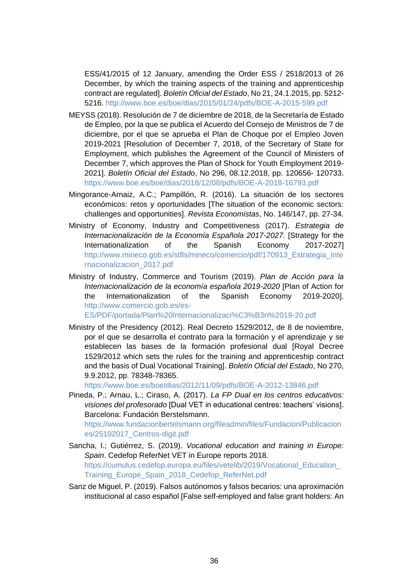ESS/41/2015 of 12 January, amending the Order ESS / 2518/2013 of 26 December, by which the training aspects of the training and apprenticeship contract are regulated]. *Boletín Oficial del Estado*, No 21, 24.1.2015, pp. 5212- 5216.<http://www.boe.es/boe/dias/2015/01/24/pdfs/BOE-A-2015-599.pdf>

- MEYSS (2018). Resolución de 7 de diciembre de 2018, de la Secretaría de Estado de Empleo, por la que se publica el Acuerdo del Consejo de Ministros de 7 de diciembre, por el que se aprueba el Plan de Choque por el Empleo Joven 2019-2021 [Resolution of December 7, 2018, of the Secretary of State for Employment, which publishes the Agreement of the Council of Ministers of December 7, which approves the Plan of Shock for Youth Employment 2019- 2021]. *Boletín Oficial del Estado*, No 296, 08.12.2018, pp. 120656- 120733. <https://www.boe.es/boe/dias/2018/12/08/pdfs/BOE-A-2018-16793.pdf>
- Mingorance-Arnaiz, A.C.; Pampillón, R. (2016). La situación de los sectores económicos: retos y oportunidades [The situation of the economic sectors: challenges and opportunities]. *Revista Economistas*, No. 146/147, pp. 27-34.
- Ministry of Economy, Industry and Competitiveness (2017). *Estrategia de Internacionalización de la Economía Española 2017-2027.* [Strategy for the Internationalization of the Spanish Economy 2017-2027] [http://www.mineco.gob.es/stfls/mineco/comercio/pdf/170913\\_Estrategia\\_Inte](http://www.mineco.gob.es/stfls/mineco/comercio/pdf/170913_Estrategia_Internacionalizacion_2017.pdf) [rnacionalizacion\\_2017.pdf](http://www.mineco.gob.es/stfls/mineco/comercio/pdf/170913_Estrategia_Internacionalizacion_2017.pdf)
- Ministry of Industry, Commerce and Tourism (2019). *Plan de Acción para la Internacionalización de la economía española 2019-2020* [Plan of Action for the Internationalization of the Spanish Economy 2019-2020]. [http://www.comercio.gob.es/es-](http://www.comercio.gob.es/es-ES/PDF/portada/Plan%20Internacionalizaci%C3%B3n%2019-20.pdf)

[ES/PDF/portada/Plan%20Internacionalizaci%C3%B3n%2019-20.pdf](http://www.comercio.gob.es/es-ES/PDF/portada/Plan%20Internacionalizaci%C3%B3n%2019-20.pdf)

Ministry of the Presidency (2012). Real Decreto 1529/2012, de 8 de noviembre, por el que se desarrolla el contrato para la formación y el aprendizaje y se establecen las bases de la formación profesional dual [Royal Decree 1529/2012 which sets the rules for the training and apprenticeship contract and the basis of Dual Vocational Training]. *Boletín Oficial del Estado*, No 270, 9.9.2012, pp. 78348-78365.

<https://www.boe.es/boe/dias/2012/11/09/pdfs/BOE-A-2012-13846.pdf>

Pineda, P.; Arnau, L.; Ciraso, A. (2017). *La FP Dual en los centros educativos: visiones del profesorado* [Dual VET in educational centres: teachers' visions]. Barcelona: Fundación Berstelsmann.

[https://www.fundacionbertelsmann.org/fileadmin/files/Fundacion/Publicacion](https://www.fundacionbertelsmann.org/fileadmin/files/Fundacion/Publicaciones/25102017_Centros-digit.pdf) [es/25102017\\_Centros-digit.pdf](https://www.fundacionbertelsmann.org/fileadmin/files/Fundacion/Publicaciones/25102017_Centros-digit.pdf)

- Sancha, I.; Gutiérrez, S. (2019). *Vocational education and training in Europe: Spain*. Cedefop ReferNet VET in Europe reports 2018. [https://cumulus.cedefop.europa.eu/files/vetelib/2019/Vocational\\_Education\\_](https://cumulus.cedefop.europa.eu/files/vetelib/2019/Vocational_Education_Training_Europe_Spain_2018_Cedefop_ReferNet.pdf) [Training\\_Europe\\_Spain\\_2018\\_Cedefop\\_ReferNet.pdf](https://cumulus.cedefop.europa.eu/files/vetelib/2019/Vocational_Education_Training_Europe_Spain_2018_Cedefop_ReferNet.pdf)
- Sanz de Miguel, P. (2019). Falsos autónomos y falsos becarios: una aproximación institucional al caso español [False self-employed and false grant holders: An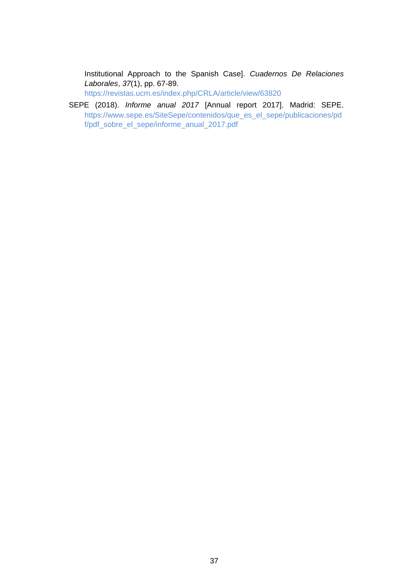Institutional Approach to the Spanish Case]. *Cuadernos De Relaciones Laborales*, *37*(1), pp. 67-89.

<https://revistas.ucm.es/index.php/CRLA/article/view/63820>

SEPE (2018). *Informe anual 2017* [Annual report 2017]. Madrid: SEPE. [https://www.sepe.es/SiteSepe/contenidos/que\\_es\\_el\\_sepe/publicaciones/pd](https://www.sepe.es/SiteSepe/contenidos/que_es_el_sepe/publicaciones/pdf/pdf_sobre_el_sepe/informe_anual_2017.pdf) [f/pdf\\_sobre\\_el\\_sepe/informe\\_anual\\_2017.pdf](https://www.sepe.es/SiteSepe/contenidos/que_es_el_sepe/publicaciones/pdf/pdf_sobre_el_sepe/informe_anual_2017.pdf)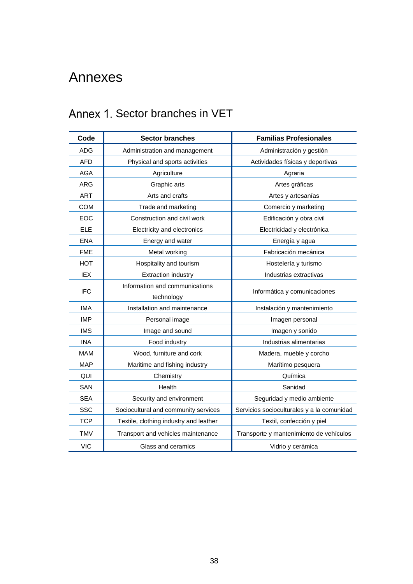# <span id="page-38-0"></span>Annexes

# Annex 1. Sector branches in VET

| Code       | <b>Sector branches</b>                 | <b>Familias Profesionales</b>              |
|------------|----------------------------------------|--------------------------------------------|
| <b>ADG</b> | Administration and management          | Administración y gestión                   |
| <b>AFD</b> | Physical and sports activities         | Actividades físicas y deportivas           |
| <b>AGA</b> | Agriculture                            | Agraria                                    |
| <b>ARG</b> | Graphic arts                           | Artes gráficas                             |
| <b>ART</b> | Arts and crafts                        | Artes y artesanías                         |
| <b>COM</b> | Trade and marketing                    | Comercio y marketing                       |
| <b>EOC</b> | Construction and civil work            | Edificación y obra civil                   |
| <b>ELE</b> | Electricity and electronics            | Electricidad y electrónica                 |
| <b>ENA</b> | Energy and water                       | Energía y agua                             |
| <b>FME</b> | Metal working                          | Fabricación mecánica                       |
| <b>HOT</b> | Hospitality and tourism                | Hostelería y turismo                       |
| IEX        | <b>Extraction industry</b>             | Industrias extractivas                     |
| <b>IFC</b> | Information and communications         | Informática y comunicaciones               |
|            | technology                             |                                            |
| <b>IMA</b> | Installation and maintenance           | Instalación y mantenimiento                |
| <b>IMP</b> | Personal image                         | Imagen personal                            |
| <b>IMS</b> | Image and sound                        | Imagen y sonido                            |
| <b>INA</b> | Food industry                          | Industrias alimentarias                    |
| <b>MAM</b> | Wood, furniture and cork               | Madera, mueble y corcho                    |
| <b>MAP</b> | Maritime and fishing industry          | Marítimo pesquera                          |
| QUI        | Chemistry                              | Química                                    |
| SAN        | Health                                 | Sanidad                                    |
| <b>SEA</b> | Security and environment               | Seguridad y medio ambiente                 |
| <b>SSC</b> | Sociocultural and community services   | Servicios socioculturales y a la comunidad |
| <b>TCP</b> | Textile, clothing industry and leather | Textil, confección y piel                  |
| <b>TMV</b> | Transport and vehicles maintenance     | Transporte y mantenimiento de vehículos    |
| <b>VIC</b> | Glass and ceramics                     | Vidrio y cerámica                          |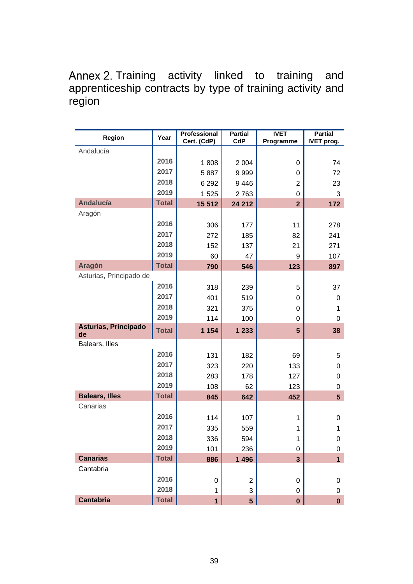## Annex 2. Training activity linked to training and apprenticeship contracts by type of training activity and region

| Region                     | Year         | Professional<br>Cert. (CdP) | <b>Partial</b><br>CdP | <b>IVET</b><br>Programme | <b>Partial</b><br><b>IVET prog.</b> |
|----------------------------|--------------|-----------------------------|-----------------------|--------------------------|-------------------------------------|
| Andalucía                  |              |                             |                       |                          |                                     |
|                            | 2016         | 1808                        | 2 0 0 4               | 0                        | 74                                  |
|                            | 2017         | 5887                        | 9999                  | 0                        | 72                                  |
|                            | 2018         | 6 2 9 2                     | 9446                  | $\overline{2}$           | 23                                  |
|                            | 2019         | 1525                        | 2763                  | 0                        | 3                                   |
| <b>Andalucía</b>           | <b>Total</b> | 15 5 12                     | 24 212                | $\overline{2}$           | 172                                 |
| Aragón                     |              |                             |                       |                          |                                     |
|                            | 2016         | 306                         | 177                   | 11                       | 278                                 |
|                            | 2017         | 272                         | 185                   | 82                       | 241                                 |
|                            | 2018         | 152                         | 137                   | 21                       | 271                                 |
|                            | 2019         | 60                          | 47                    | 9                        | 107                                 |
| <b>Aragón</b>              | <b>Total</b> | 790                         | 546                   | 123                      | 897                                 |
| Asturias, Principado de    |              |                             |                       |                          |                                     |
|                            | 2016         | 318                         | 239                   | 5                        | 37                                  |
|                            | 2017         | 401                         | 519                   | 0                        | 0                                   |
|                            | 2018         | 321                         | 375                   | 0                        | 1                                   |
|                            | 2019         | 114                         | 100                   | 0                        | 0                                   |
| Asturias, Principado<br>de | <b>Total</b> | 1 1 5 4                     | 1 2 3 3               | $5\phantom{1}$           | 38                                  |
| Balears, Illes             |              |                             |                       |                          |                                     |
|                            | 2016         | 131                         | 182                   | 69                       | 5                                   |
|                            | 2017         | 323                         | 220                   | 133                      | 0                                   |
|                            | 2018         | 283                         | 178                   | 127                      | 0                                   |
|                            | 2019         | 108                         | 62                    | 123                      | 0                                   |
| <b>Balears, Illes</b>      | <b>Total</b> | 845                         | 642                   | 452                      | 5 <sup>5</sup>                      |
| Canarias                   |              |                             |                       |                          |                                     |
|                            | 2016         | 114                         | 107                   | 1                        | 0                                   |
|                            | 2017         | 335                         | 559                   | 1                        | 1                                   |
|                            | 2018         | 336                         | 594                   | 1                        | 0                                   |
|                            | 2019         | 101                         | 236                   | 0                        | 0                                   |
| <b>Canarias</b>            | <b>Total</b> | 886                         | 1 4 9 6               | $\overline{3}$           | $\overline{1}$                      |
| Cantabria                  |              |                             |                       |                          |                                     |
|                            | 2016         | 0                           | 2                     | 0                        | 0                                   |
|                            | 2018         | 1                           | 3                     | 0                        | 0                                   |
| <b>Cantabria</b>           | <b>Total</b> | $\mathbf{1}$                | 5 <sup>5</sup>        | $\bf{0}$                 | $\mathbf 0$                         |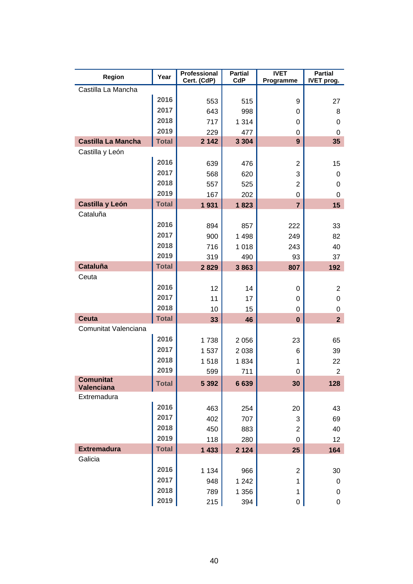| Region                         | Year         | Professional<br>Cert. (CdP) | <b>Partial</b><br>CdP | <b>IVET</b><br>Programme | <b>Partial</b><br>IVET prog. |
|--------------------------------|--------------|-----------------------------|-----------------------|--------------------------|------------------------------|
| Castilla La Mancha             |              |                             |                       |                          |                              |
|                                | 2016         | 553                         | 515                   | 9                        | 27                           |
|                                | 2017         | 643                         | 998                   | 0                        | 8                            |
|                                | 2018         | 717                         | 1 3 1 4               | 0                        | 0                            |
|                                | 2019         | 229                         | 477                   | 0                        | 0                            |
| <b>Castilla La Mancha</b>      | <b>Total</b> | 2 1 4 2                     | 3 3 0 4               | 9                        | 35                           |
| Castilla y León                |              |                             |                       |                          |                              |
|                                | 2016         | 639                         | 476                   | $\overline{2}$           | 15                           |
|                                | 2017         | 568                         | 620                   | 3                        | 0                            |
|                                | 2018         | 557                         | 525                   | $\overline{c}$           | 0                            |
|                                | 2019         | 167                         | 202                   | 0                        | 0                            |
| Castilla y León                | <b>Total</b> | 1931                        | 1823                  | $\overline{7}$           | 15                           |
| Cataluña                       |              |                             |                       |                          |                              |
|                                | 2016         | 894                         | 857                   | 222                      | 33                           |
|                                | 2017         | 900                         | 1 4 9 8               | 249                      | 82                           |
|                                | 2018         | 716                         | 1018                  | 243                      | 40                           |
|                                | 2019         | 319                         | 490                   | 93                       | 37                           |
| <b>Cataluña</b>                | <b>Total</b> | 2829                        | 3863                  | 807                      | 192                          |
| Ceuta                          |              |                             |                       |                          |                              |
|                                | 2016         | 12                          | 14                    | 0                        | $\overline{2}$               |
|                                | 2017         | 11                          | 17                    | 0                        | 0                            |
|                                | 2018         | 10                          | 15                    | 0                        | 0                            |
| <b>Ceuta</b>                   | <b>Total</b> | 33                          | 46                    | $\bf{0}$                 | 2 <sup>1</sup>               |
| Comunitat Valenciana           |              |                             |                       |                          |                              |
|                                | 2016         | 1738                        | 2056                  | 23                       | 65                           |
|                                | 2017         | 1537                        | 2 0 38                | 6                        | 39                           |
|                                | 2018         | 1518                        | 1834                  | 1                        | 22                           |
|                                | 2019         | 599                         | 711                   | 0                        | $\mathbf{2}$                 |
| <b>Comunitat</b><br>Valenciana | <b>Total</b> | 5 3 9 2                     | 6639                  | 30                       | 128                          |
| Extremadura                    |              |                             |                       |                          |                              |
|                                | 2016         | 463                         | 254                   | 20                       | 43                           |
|                                | 2017         | 402                         | 707                   | 3                        | 69                           |
|                                | 2018         | 450                         | 883                   | $\overline{2}$           | 40                           |
|                                | 2019         | 118                         | 280                   | 0                        | 12                           |
| <b>Extremadura</b>             | <b>Total</b> | 1 4 3 3                     | 2 1 2 4               | 25                       | 164                          |
| Galicia                        |              |                             |                       |                          |                              |
|                                | 2016         | 1 1 3 4                     | 966                   | $\overline{2}$           | 30                           |
|                                | 2017         | 948                         | 1 2 4 2               | 1                        | 0                            |
|                                | 2018         | 789                         | 1 3 5 6               | 1                        | 0                            |
|                                | 2019         | 215                         | 394                   | 0                        | 0                            |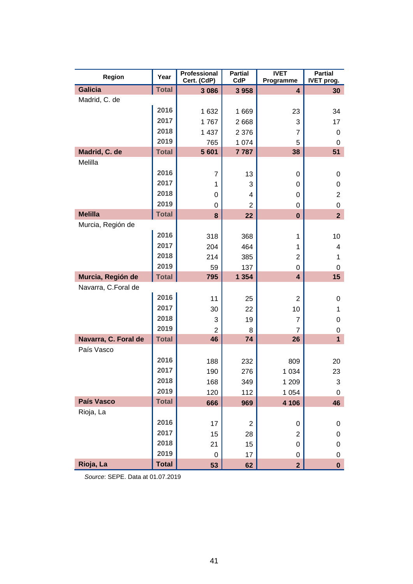| Region               | Year         | Professional<br>Cert. (CdP) | <b>Partial</b><br>CdP | <b>IVET</b><br>Programme | <b>Partial</b><br>IVET prog. |
|----------------------|--------------|-----------------------------|-----------------------|--------------------------|------------------------------|
| <b>Galicia</b>       | <b>Total</b> | 3086                        | 3958                  | 4                        | 30                           |
| Madrid, C. de        |              |                             |                       |                          |                              |
|                      | 2016         | 1632                        | 1669                  | 23                       | 34                           |
|                      | 2017         | 1767                        | 2668                  | 3                        | 17                           |
|                      | 2018         | 1 4 3 7                     | 2 3 7 6               | 7                        | 0                            |
|                      | 2019         | 765                         | 1 0 7 4               | 5                        | 0                            |
| Madrid, C. de        | <b>Total</b> | 5 601                       | 7787                  | 38                       | 51                           |
| Melilla              |              |                             |                       |                          |                              |
|                      | 2016         | $\overline{7}$              | 13                    | 0                        | 0                            |
|                      | 2017         | 1                           | 3                     | 0                        | 0                            |
|                      | 2018         | 0                           | 4                     | 0                        | $\overline{2}$               |
|                      | 2019         | 0                           | $\overline{2}$        | 0                        | 0                            |
| <b>Melilla</b>       | <b>Total</b> | 8                           | 22                    | $\bf{0}$                 | $\overline{2}$               |
| Murcia, Región de    |              |                             |                       |                          |                              |
|                      | 2016         | 318                         | 368                   | 1                        | 10                           |
|                      | 2017         | 204                         | 464                   | 1                        | 4                            |
|                      | 2018         | 214                         | 385                   | $\overline{2}$           | 1                            |
|                      | 2019         | 59                          | 137                   | 0                        | 0                            |
| Murcia, Región de    | <b>Total</b> | 795                         | 1 3 5 4               | 4                        | 15                           |
| Navarra, C.Foral de  |              |                             |                       |                          |                              |
|                      | 2016         | 11                          | 25                    | 2                        | 0                            |
|                      | 2017         | 30                          | 22                    | 10                       | 1                            |
|                      | 2018         | 3                           | 19                    | 7                        | 0                            |
|                      | 2019         | $\overline{2}$              | 8                     | $\overline{7}$           | 0                            |
| Navarra, C. Foral de | <b>Total</b> | 46                          | 74                    | 26                       | $\overline{1}$               |
| País Vasco           |              |                             |                       |                          |                              |
|                      | 2016         | 188                         | 232                   | 809                      | 20                           |
|                      | 2017         | 190                         | 276                   | 1 0 3 4                  | 23                           |
|                      | 2018         | 168                         | 349                   | 1 209                    | 3                            |
|                      | 2019         | 120                         | 112                   | 1 0 5 4                  | 0                            |
| País Vasco           | <b>Total</b> | 666                         | 969                   | 4 10 6                   | 46                           |
| Rioja, La            |              |                             |                       |                          |                              |
|                      | 2016         | 17                          | $\overline{2}$        | 0                        | 0                            |
|                      | 2017         | 15                          | 28                    | $\overline{2}$           | 0                            |
|                      | 2018         | 21                          | 15                    | 0                        | 0                            |
|                      | 2019         | 0                           | 17                    | 0                        | 0                            |
| Rioja, La            | <b>Total</b> | 53                          | 62                    | $\overline{2}$           | $\mathbf 0$                  |

*Source*: SEPE. Data at 01.07.2019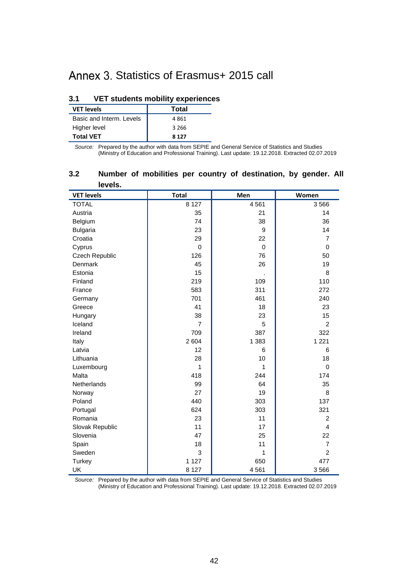# Annex 3. Statistics of Erasmus+ 2015 call

#### **3.1 VET students mobility experiences**

| <b>VET levels</b>        | <b>Total</b> |
|--------------------------|--------------|
| Basic and Interm. Levels | 4861         |
| Higher level             | 3 266        |
| <b>Total VET</b>         | 8 1 2 7      |

*Source:* Prepared by the author with data from SEPIE and General Service of Statistics and Studies (Ministry of Education and Professional Training). Last update: 19.12.2018. Extracted 02.07.2019

| <b>IGAGIS</b> .   |                |             |                |
|-------------------|----------------|-------------|----------------|
| <b>VET levels</b> | <b>Total</b>   | Men         | Women          |
| <b>TOTAL</b>      | 8 1 2 7        | 4561        | 3566           |
| Austria           | 35             | 21          | 14             |
| Belgium           | 74             | 38          | 36             |
| <b>Bulgaria</b>   | 23             | 9           | 14             |
| Croatia           | 29             | 22          | $\overline{7}$ |
| Cyprus            | $\mathbf 0$    | $\mathbf 0$ | 0              |
| Czech Republic    | 126            | 76          | 50             |
| Denmark           | 45             | 26          | 19             |
| Estonia           | 15             |             | 8              |
| Finland           | 219            | 109         | 110            |
| France            | 583            | 311         | 272            |
| Germany           | 701            | 461         | 240            |
| Greece            | 41             | 18          | 23             |
| Hungary           | 38             | 23          | 15             |
| Iceland           | $\overline{7}$ | 5           | $\mathcal{P}$  |
| Ireland           | 709            | 387         | 322            |
| Italy             | 2 604          | 1 3 8 3     | 1 2 2 1        |
| Latvia            | 12             | 6           | 6              |
| Lithuania         | 28             | 10          | 18             |
| Luxembourg        | 1              | 1           | $\Omega$       |
| Malta             | 418            | 244         | 174            |
| Netherlands       | 99             | 64          | 35             |
| Norway            | 27             | 19          | 8              |
| Poland            | 440            | 303         | 137            |
| Portugal          | 624            | 303         | 321            |
| Romania           | 23             | 11          | $\overline{2}$ |
| Slovak Republic   | 11             | 17          | $\overline{4}$ |
| Slovenia          | 47             | 25          | 22             |
| Spain             | 18             | 11          | $\overline{7}$ |
| Sweden            | 3              | 1           | $\overline{2}$ |
| <b>Turkey</b>     | 1 1 2 7        | 650         | 477            |
| <b>UK</b>         | 8 1 2 7        | 4561        | 3566           |

#### **3.2 Number of mobilities per country of destination, by gender. All levels.**

*Source:* Prepared by the author with data from SEPIE and General Service of Statistics and Studies (Ministry of Education and Professional Training). Last update: 19.12.2018. Extracted 02.07.2019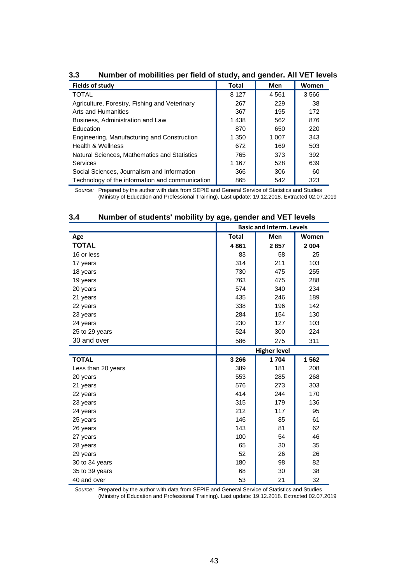| Fields of study                                 | <b>Total</b> | Men   | Women |
|-------------------------------------------------|--------------|-------|-------|
| <b>TOTAL</b>                                    | 8 1 2 7      | 4561  | 3566  |
| Agriculture, Forestry, Fishing and Veterinary   | 267          | 229   | -38   |
| Arts and Humanities                             | 367          | 195   | 172   |
| Business, Administration and Law                | 1438         | 562   | 876   |
| Education                                       | 870          | 650   | 220   |
| Engineering, Manufacturing and Construction     | 1 3 5 0      | 1 007 | 343   |
| <b>Health &amp; Wellness</b>                    | 672          | 169   | 503   |
| Natural Sciences, Mathematics and Statistics    | 765          | 373   | 392   |
| Services                                        | 1 1 6 7      | 528   | 639   |
| Social Sciences, Journalism and Information     | 366          | 306   | 60    |
| Technology of the information and communication | 865          | 542   | 323   |

**3.3 Number of mobilities per field of study, and gender. All VET levels**

*Source:* Prepared by the author with data from SEPIE and General Service of Statistics and Studies (Ministry of Education and Professional Training). Last update: 19.12.2018. Extracted 02.07.2019

| Number of students mobility by age, genuer and VLT levels |                                 |      |         |
|-----------------------------------------------------------|---------------------------------|------|---------|
|                                                           | <b>Basic and Interm. Levels</b> |      |         |
| Age                                                       | <b>Total</b>                    | Men  | Women   |
| <b>TOTAL</b>                                              | 4861                            | 2857 | 2 0 0 4 |
| 16 or less                                                | 83                              | 58   | 25      |
| 17 years                                                  | 314                             | 211  | 103     |
| 18 years                                                  | 730                             | 475  | 255     |
| 19 years                                                  | 763                             | 475  | 288     |
| 20 years                                                  | 574                             | 340  | 234     |
| 21 years                                                  | 435                             | 246  | 189     |
| 22 years                                                  | 338                             | 196  | 142     |
| 23 years                                                  | 284                             | 154  | 130     |
| 24 years                                                  | 230                             | 127  | 103     |
| 25 to 29 years                                            | 524                             | 300  | 224     |
| 30 and over                                               | 586                             | 275  | 311     |
|                                                           | <b>Higher level</b>             |      |         |
| <b>TOTAL</b>                                              | 3 2 6 6                         | 1704 | 1562    |
| Less than 20 years                                        | 389                             | 181  | 208     |
| 20 years                                                  | 553                             | 285  | 268     |
| 21 years                                                  | 576                             | 273  | 303     |
| 22 years                                                  | 414                             | 244  | 170     |
| 23 years                                                  | 315                             | 179  | 136     |
| 24 years                                                  | 212                             | 117  | 95      |
| 25 years                                                  | 146                             | 85   | 61      |
| 26 years                                                  | 143                             | 81   | 62      |
| 27 years                                                  | 100                             | 54   | 46      |
| 28 years                                                  | 65                              | 30   | 35      |
| 29 years                                                  | 52                              | 26   | 26      |
| 30 to 34 years                                            | 180                             | 98   | 82      |
| 35 to 39 years                                            | 68                              | 30   | 38      |
| 40 and over                                               | 53                              | 21   | 32      |

#### **3.4 Number of students' mobility by age, gender and VET levels**

*Source:* Prepared by the author with data from SEPIE and General Service of Statistics and Studies (Ministry of Education and Professional Training). Last update: 19.12.2018. Extracted 02.07.2019